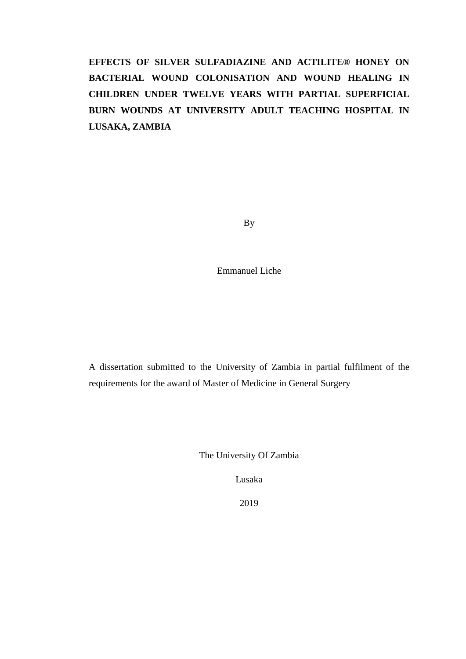# **EFFECTS OF SILVER SULFADIAZINE AND ACTILITE® HONEY ON BACTERIAL WOUND COLONISATION AND WOUND HEALING IN CHILDREN UNDER TWELVE YEARS WITH PARTIAL SUPERFICIAL BURN WOUNDS AT UNIVERSITY ADULT TEACHING HOSPITAL IN LUSAKA, ZAMBIA**

By

Emmanuel Liche

A dissertation submitted to the University of Zambia in partial fulfilment of the requirements for the award of Master of Medicine in General Surgery

The University Of Zambia

Lusaka

2019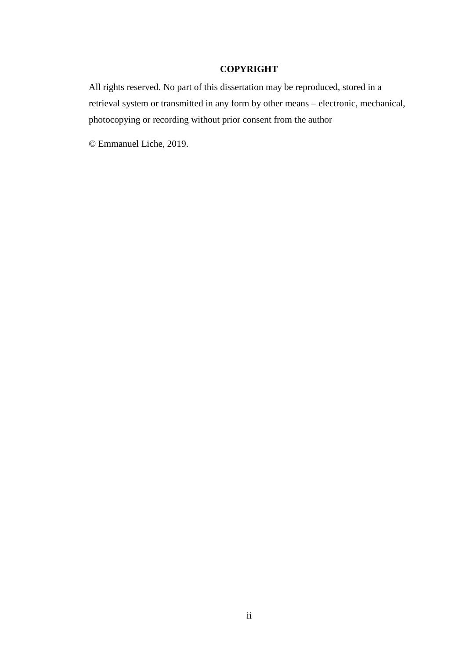#### **COPYRIGHT**

All rights reserved. No part of this dissertation may be reproduced, stored in a retrieval system or transmitted in any form by other means – electronic, mechanical, photocopying or recording without prior consent from the author

© Emmanuel Liche, 2019.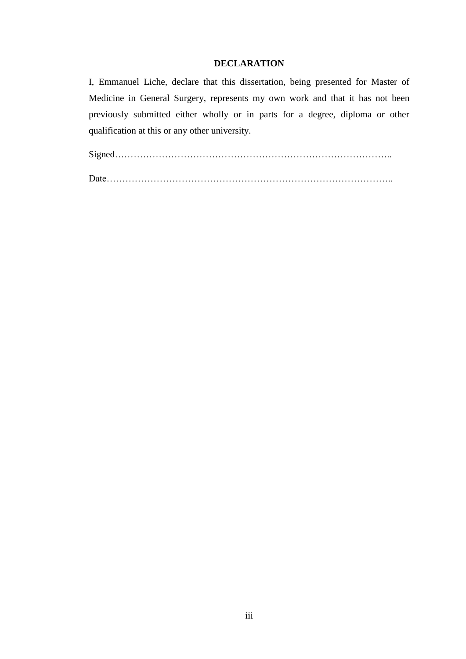#### **DECLARATION**

I, Emmanuel Liche, declare that this dissertation, being presented for Master of Medicine in General Surgery, represents my own work and that it has not been previously submitted either wholly or in parts for a degree, diploma or other qualification at this or any other university.

Signed……………………………………………………………………………..

Date………………………………………………………………………………..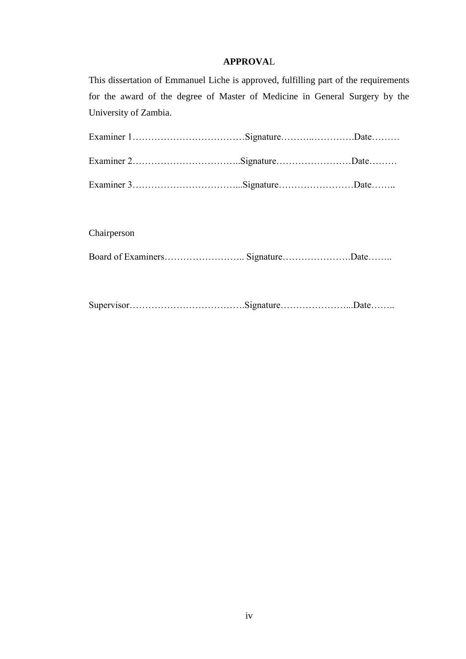#### **APPROVA**L

This dissertation of Emmanuel Liche is approved, fulfilling part of the requirements for the award of the degree of Master of Medicine in General Surgery by the University of Zambia.

Chairperson

Board of Examiners…………………….. Signature………………….Date……..

Supervisor……………………………….Signature…………………...Date……..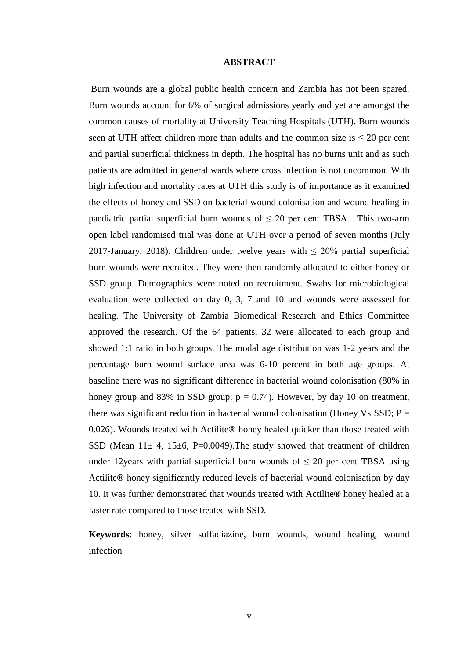#### **ABSTRACT**

Burn wounds are a global public health concern and Zambia has not been spared. Burn wounds account for 6% of surgical admissions yearly and yet are amongst the common causes of mortality at University Teaching Hospitals (UTH). Burn wounds seen at UTH affect children more than adults and the common size is  $\leq 20$  per cent and partial superficial thickness in depth. The hospital has no burns unit and as such patients are admitted in general wards where cross infection is not uncommon. With high infection and mortality rates at UTH this study is of importance as it examined the effects of honey and SSD on bacterial wound colonisation and wound healing in paediatric partial superficial burn wounds of  $\leq 20$  per cent TBSA. This two-arm open label randomised trial was done at UTH over a period of seven months (July 2017-January, 2018). Children under twelve years with  $\leq 20\%$  partial superficial burn wounds were recruited. They were then randomly allocated to either honey or SSD group. Demographics were noted on recruitment. Swabs for microbiological evaluation were collected on day 0, 3, 7 and 10 and wounds were assessed for healing. The University of Zambia Biomedical Research and Ethics Committee approved the research. Of the 64 patients, 32 were allocated to each group and showed 1:1 ratio in both groups. The modal age distribution was 1-2 years and the percentage burn wound surface area was 6-10 percent in both age groups. At baseline there was no significant difference in bacterial wound colonisation (80% in honey group and 83% in SSD group;  $p = 0.74$ ). However, by day 10 on treatment, there was significant reduction in bacterial wound colonisation (Honey Vs SSD;  $P =$ 0.026). Wounds treated with Actilite**®** honey healed quicker than those treated with SSD (Mean  $11 \pm 4$ , 15 $\pm 6$ , P=0.0049). The study showed that treatment of children under 12 years with partial superficial burn wounds of  $\leq 20$  per cent TBSA using Actilite**®** honey significantly reduced levels of bacterial wound colonisation by day 10. It was further demonstrated that wounds treated with Actilite**®** honey healed at a faster rate compared to those treated with SSD.

**Keywords**: honey, silver sulfadiazine, burn wounds, wound healing, wound infection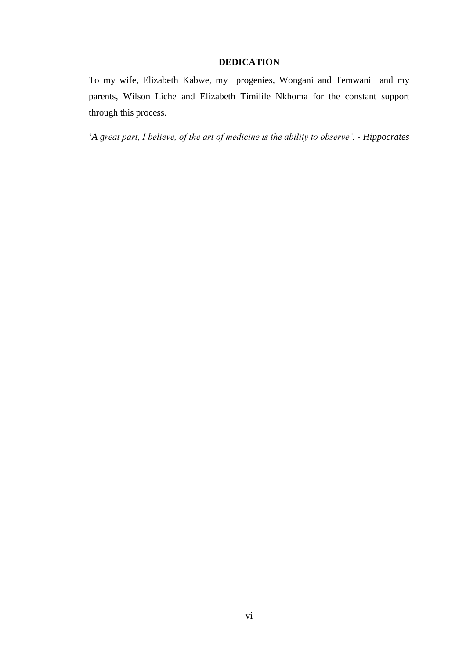#### **DEDICATION**

To my wife, Elizabeth Kabwe, my progenies, Wongani and Temwani and my parents, Wilson Liche and Elizabeth Timilile Nkhoma for the constant support through this process.

'*A great part, I believe, of the art of medicine is the ability to observe'. - Hippocrates*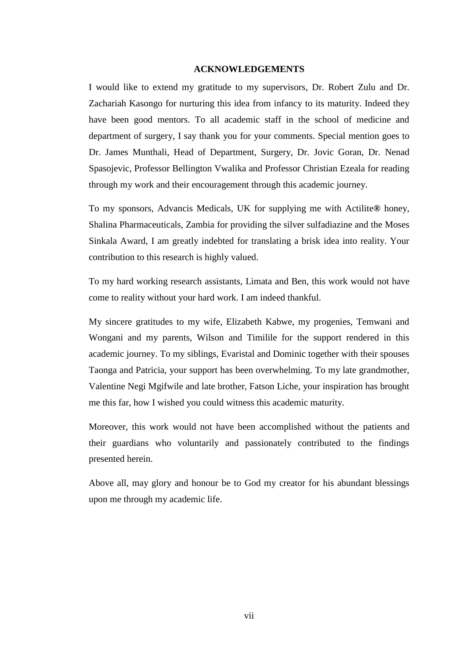#### **ACKNOWLEDGEMENTS**

I would like to extend my gratitude to my supervisors, Dr. Robert Zulu and Dr. Zachariah Kasongo for nurturing this idea from infancy to its maturity. Indeed they have been good mentors. To all academic staff in the school of medicine and department of surgery, I say thank you for your comments. Special mention goes to Dr. James Munthali, Head of Department, Surgery, Dr. Jovic Goran, Dr. Nenad Spasojevic, Professor Bellington Vwalika and Professor Christian Ezeala for reading through my work and their encouragement through this academic journey.

To my sponsors, Advancis Medicals, UK for supplying me with Actilite**®** honey, Shalina Pharmaceuticals, Zambia for providing the silver sulfadiazine and the Moses Sinkala Award, I am greatly indebted for translating a brisk idea into reality. Your contribution to this research is highly valued.

To my hard working research assistants, Limata and Ben, this work would not have come to reality without your hard work. I am indeed thankful.

My sincere gratitudes to my wife, Elizabeth Kabwe, my progenies, Temwani and Wongani and my parents, Wilson and Timilile for the support rendered in this academic journey. To my siblings, Evaristal and Dominic together with their spouses Taonga and Patricia, your support has been overwhelming. To my late grandmother, Valentine Negi Mgifwile and late brother, Fatson Liche, your inspiration has brought me this far, how I wished you could witness this academic maturity.

Moreover, this work would not have been accomplished without the patients and their guardians who voluntarily and passionately contributed to the findings presented herein.

Above all, may glory and honour be to God my creator for his abundant blessings upon me through my academic life.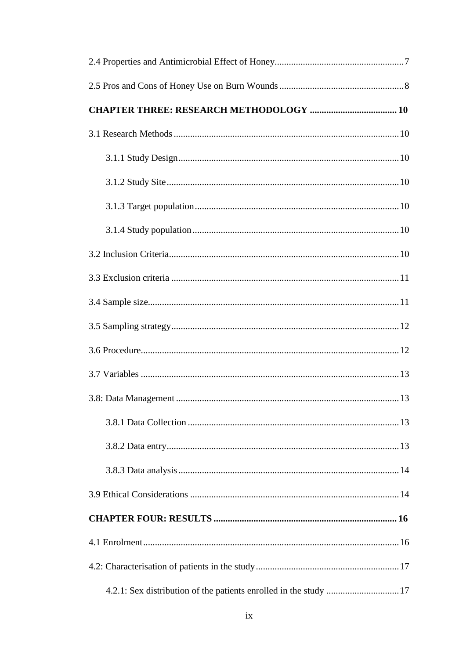| 4.2.1: Sex distribution of the patients enrolled in the study 17 |  |
|------------------------------------------------------------------|--|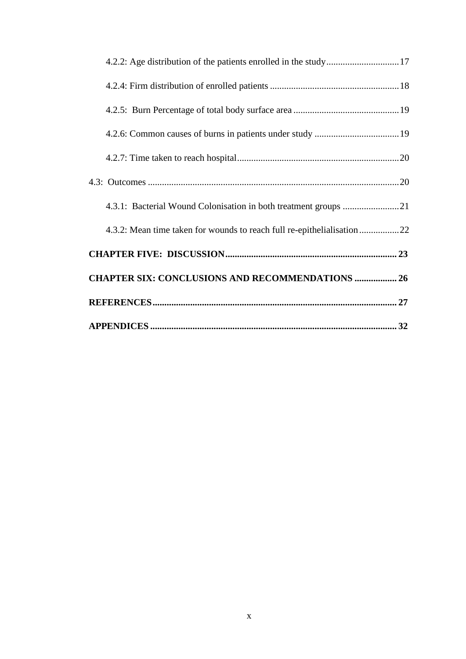| 4.2.2: Age distribution of the patients enrolled in the study17        |  |
|------------------------------------------------------------------------|--|
|                                                                        |  |
|                                                                        |  |
|                                                                        |  |
|                                                                        |  |
|                                                                        |  |
|                                                                        |  |
| 4.3.2: Mean time taken for wounds to reach full re-epithelialisation22 |  |
|                                                                        |  |
| <b>CHAPTER SIX: CONCLUSIONS AND RECOMMENDATIONS  26</b>                |  |
|                                                                        |  |
|                                                                        |  |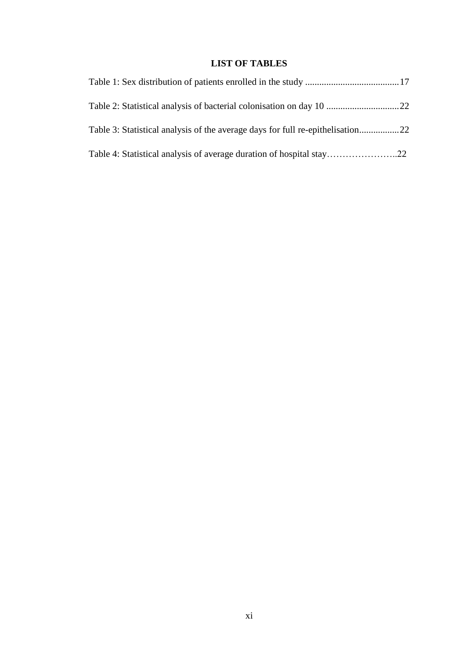## **LIST OF TABLES**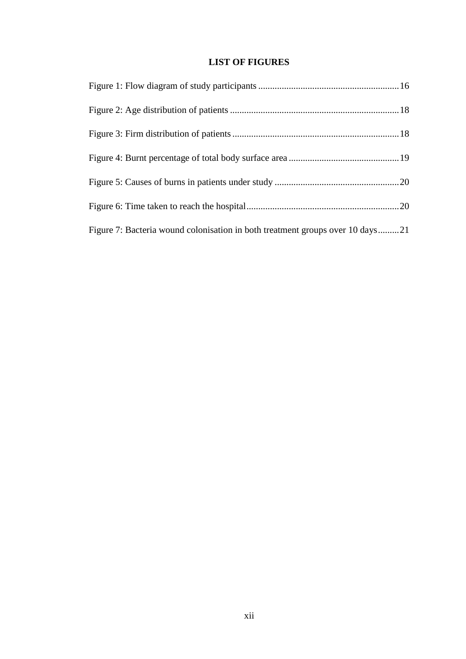## **LIST OF FIGURES**

| Figure 7: Bacteria wound colonisation in both treatment groups over 10 days21 |  |
|-------------------------------------------------------------------------------|--|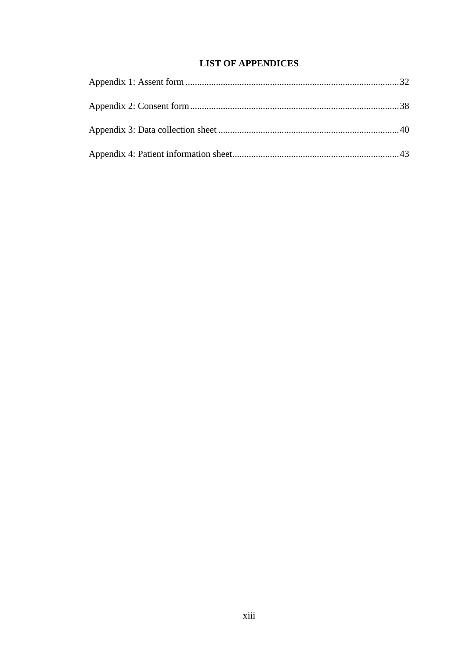## **LIST OF APPENDICES**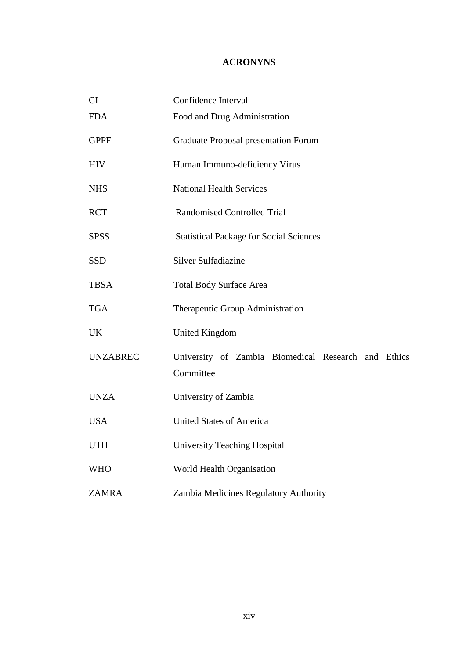## **ACRONYNS**

| <b>CI</b>       | Confidence Interval                                              |  |  |  |
|-----------------|------------------------------------------------------------------|--|--|--|
| <b>FDA</b>      | Food and Drug Administration                                     |  |  |  |
| <b>GPPF</b>     | <b>Graduate Proposal presentation Forum</b>                      |  |  |  |
| <b>HIV</b>      | Human Immuno-deficiency Virus                                    |  |  |  |
| <b>NHS</b>      | <b>National Health Services</b>                                  |  |  |  |
| <b>RCT</b>      | <b>Randomised Controlled Trial</b>                               |  |  |  |
| <b>SPSS</b>     | <b>Statistical Package for Social Sciences</b>                   |  |  |  |
| <b>SSD</b>      | <b>Silver Sulfadiazine</b>                                       |  |  |  |
| <b>TBSA</b>     | <b>Total Body Surface Area</b>                                   |  |  |  |
| <b>TGA</b>      | Therapeutic Group Administration                                 |  |  |  |
| <b>UK</b>       | <b>United Kingdom</b>                                            |  |  |  |
| <b>UNZABREC</b> | University of Zambia Biomedical Research and Ethics<br>Committee |  |  |  |
| <b>UNZA</b>     | University of Zambia                                             |  |  |  |
| <b>USA</b>      | <b>United States of America</b>                                  |  |  |  |
| <b>UTH</b>      | <b>University Teaching Hospital</b>                              |  |  |  |
| <b>WHO</b>      | World Health Organisation                                        |  |  |  |
| <b>ZAMRA</b>    | Zambia Medicines Regulatory Authority                            |  |  |  |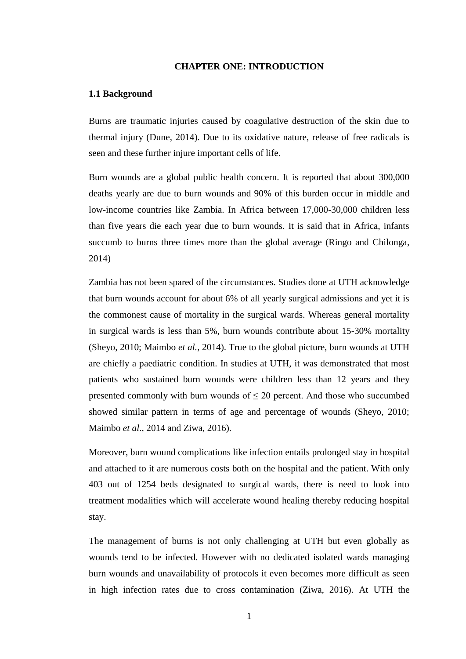#### **CHAPTER ONE: INTRODUCTION**

#### **1.1 Background**

Burns are traumatic injuries caused by coagulative destruction of the skin due to thermal injury (Dune, 2014). Due to its oxidative nature, release of free radicals is seen and these further injure important cells of life.

Burn wounds are a global public health concern. It is reported that about 300,000 deaths yearly are due to burn wounds and 90% of this burden occur in middle and low-income countries like Zambia. In Africa between 17,000-30,000 children less than five years die each year due to burn wounds. It is said that in Africa, infants succumb to burns three times more than the global average (Ringo and Chilonga, 2014)

Zambia has not been spared of the circumstances. Studies done at UTH acknowledge that burn wounds account for about 6% of all yearly surgical admissions and yet it is the commonest cause of mortality in the surgical wards. Whereas general mortality in surgical wards is less than 5%, burn wounds contribute about 15-30% mortality (Sheyo, 2010; Maimbo *et al.,* 2014). True to the global picture, burn wounds at UTH are chiefly a paediatric condition. In studies at UTH, it was demonstrated that most patients who sustained burn wounds were children less than 12 years and they presented commonly with burn wounds of  $\leq 20$  percent. And those who succumbed showed similar pattern in terms of age and percentage of wounds (Sheyo, 2010; Maimbo *et al*., 2014 and Ziwa, 2016).

Moreover, burn wound complications like infection entails prolonged stay in hospital and attached to it are numerous costs both on the hospital and the patient. With only 403 out of 1254 beds designated to surgical wards, there is need to look into treatment modalities which will accelerate wound healing thereby reducing hospital stay.

The management of burns is not only challenging at UTH but even globally as wounds tend to be infected. However with no dedicated isolated wards managing burn wounds and unavailability of protocols it even becomes more difficult as seen in high infection rates due to cross contamination (Ziwa, 2016). At UTH the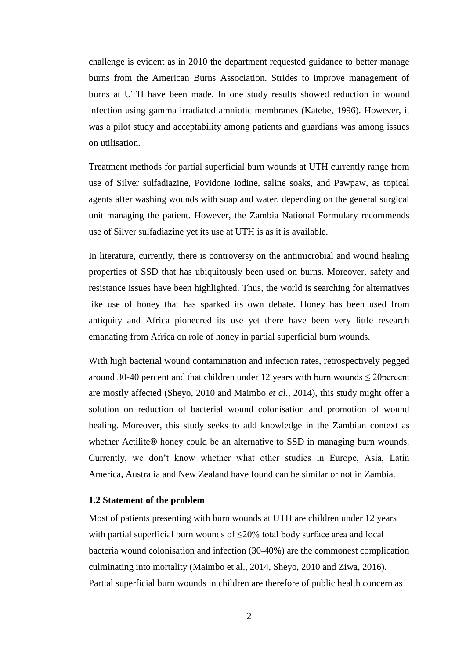challenge is evident as in 2010 the department requested guidance to better manage burns from the American Burns Association. Strides to improve management of burns at UTH have been made. In one study results showed reduction in wound infection using gamma irradiated amniotic membranes (Katebe, 1996). However, it was a pilot study and acceptability among patients and guardians was among issues on utilisation.

Treatment methods for partial superficial burn wounds at UTH currently range from use of Silver sulfadiazine, Povidone Iodine, saline soaks, and Pawpaw, as topical agents after washing wounds with soap and water, depending on the general surgical unit managing the patient. However, the Zambia National Formulary recommends use of Silver sulfadiazine yet its use at UTH is as it is available.

In literature, currently, there is controversy on the antimicrobial and wound healing properties of SSD that has ubiquitously been used on burns. Moreover, safety and resistance issues have been highlighted. Thus, the world is searching for alternatives like use of honey that has sparked its own debate. Honey has been used from antiquity and Africa pioneered its use yet there have been very little research emanating from Africa on role of honey in partial superficial burn wounds.

With high bacterial wound contamination and infection rates, retrospectively pegged around 30-40 percent and that children under 12 years with burn wounds  $\leq$  20 percent are mostly affected (Sheyo, 2010 and Maimbo *et al*., 2014), this study might offer a solution on reduction of bacterial wound colonisation and promotion of wound healing. Moreover, this study seeks to add knowledge in the Zambian context as whether Actilite**®** honey could be an alternative to SSD in managing burn wounds. Currently, we don't know whether what other studies in Europe, Asia, Latin America, Australia and New Zealand have found can be similar or not in Zambia.

#### **1.2 Statement of the problem**

Most of patients presenting with burn wounds at UTH are children under 12 years with partial superficial burn wounds of  $\leq$ 20% total body surface area and local bacteria wound colonisation and infection (30-40%) are the commonest complication culminating into mortality (Maimbo et al., 2014, Sheyo, 2010 and Ziwa, 2016). Partial superficial burn wounds in children are therefore of public health concern as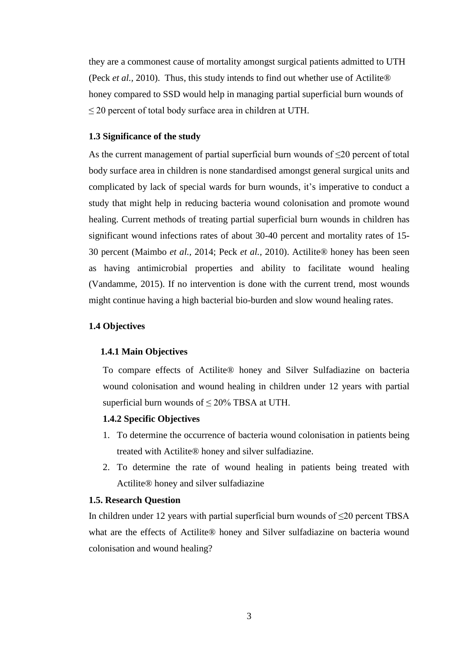they are a commonest cause of mortality amongst surgical patients admitted to UTH (Peck *et al.,* 2010). Thus, this study intends to find out whether use of Actilite® honey compared to SSD would help in managing partial superficial burn wounds of  $\leq$  20 percent of total body surface area in children at UTH.

#### **1.3 Significance of the study**

As the current management of partial superficial burn wounds of  $\leq 20$  percent of total body surface area in children is none standardised amongst general surgical units and complicated by lack of special wards for burn wounds, it's imperative to conduct a study that might help in reducing bacteria wound colonisation and promote wound healing. Current methods of treating partial superficial burn wounds in children has significant wound infections rates of about 30-40 percent and mortality rates of 15- 30 percent (Maimbo *et al.,* 2014; Peck *et al.,* 2010). Actilite® honey has been seen as having antimicrobial properties and ability to facilitate wound healing (Vandamme, 2015). If no intervention is done with the current trend, most wounds might continue having a high bacterial bio-burden and slow wound healing rates.

#### **1.4 Objectives**

#### **1.4.1 Main Objectives**

To compare effects of Actilite® honey and Silver Sulfadiazine on bacteria wound colonisation and wound healing in children under 12 years with partial superficial burn wounds of  $\leq 20\%$  TBSA at UTH.

#### **1.4.2 Specific Objectives**

- 1. To determine the occurrence of bacteria wound colonisation in patients being treated with Actilite® honey and silver sulfadiazine.
- 2. To determine the rate of wound healing in patients being treated with Actilite® honey and silver sulfadiazine

#### **1.5. Research Question**

In children under 12 years with partial superficial burn wounds of  $\leq$ 20 percent TBSA what are the effects of Actilite® honey and Silver sulfadiazine on bacteria wound colonisation and wound healing?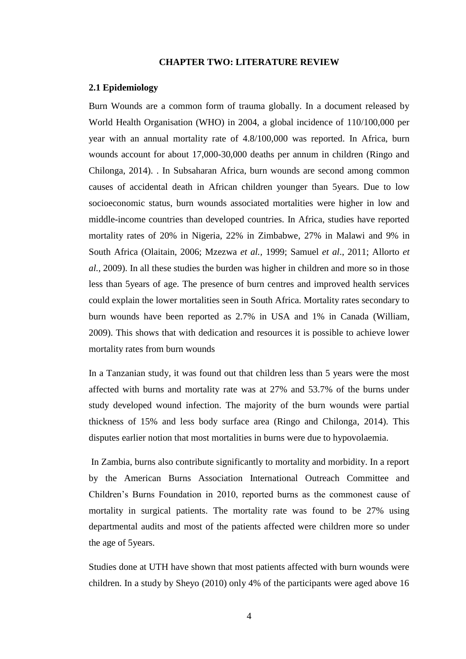#### **CHAPTER TWO: LITERATURE REVIEW**

#### **2.1 Epidemiology**

Burn Wounds are a common form of trauma globally. In a document released by World Health Organisation (WHO) in 2004, a global incidence of 110/100,000 per year with an annual mortality rate of 4.8/100,000 was reported. In Africa, burn wounds account for about 17,000-30,000 deaths per annum in children (Ringo and Chilonga, 2014). . In Subsaharan Africa, burn wounds are second among common causes of accidental death in African children younger than 5years. Due to low socioeconomic status, burn wounds associated mortalities were higher in low and middle-income countries than developed countries. In Africa, studies have reported mortality rates of 20% in Nigeria, 22% in Zimbabwe, 27% in Malawi and 9% in South Africa (Olaitain, 2006; Mzezwa *et al.,* 1999; Samuel *et al*., 2011; Allorto *et al.,* 2009). In all these studies the burden was higher in children and more so in those less than 5years of age. The presence of burn centres and improved health services could explain the lower mortalities seen in South Africa. Mortality rates secondary to burn wounds have been reported as 2.7% in USA and 1% in Canada (William, 2009). This shows that with dedication and resources it is possible to achieve lower mortality rates from burn wounds

In a Tanzanian study, it was found out that children less than 5 years were the most affected with burns and mortality rate was at 27% and 53.7% of the burns under study developed wound infection. The majority of the burn wounds were partial thickness of 15% and less body surface area (Ringo and Chilonga, 2014). This disputes earlier notion that most mortalities in burns were due to hypovolaemia.

In Zambia, burns also contribute significantly to mortality and morbidity. In a report by the American Burns Association International Outreach Committee and Children's Burns Foundation in 2010, reported burns as the commonest cause of mortality in surgical patients. The mortality rate was found to be 27% using departmental audits and most of the patients affected were children more so under the age of 5years.

Studies done at UTH have shown that most patients affected with burn wounds were children. In a study by Sheyo (2010) only 4% of the participants were aged above 16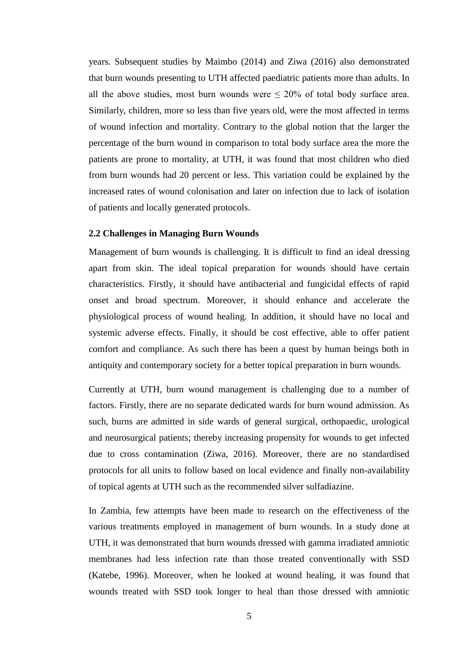years. Subsequent studies by Maimbo (2014) and Ziwa (2016) also demonstrated that burn wounds presenting to UTH affected paediatric patients more than adults. In all the above studies, most burn wounds were  $\leq 20\%$  of total body surface area. Similarly, children, more so less than five years old, were the most affected in terms of wound infection and mortality. Contrary to the global notion that the larger the percentage of the burn wound in comparison to total body surface area the more the patients are prone to mortality, at UTH, it was found that most children who died from burn wounds had 20 percent or less. This variation could be explained by the increased rates of wound colonisation and later on infection due to lack of isolation of patients and locally generated protocols.

#### **2.2 Challenges in Managing Burn Wounds**

Management of burn wounds is challenging. It is difficult to find an ideal dressing apart from skin. The ideal topical preparation for wounds should have certain characteristics. Firstly, it should have antibacterial and fungicidal effects of rapid onset and broad spectrum. Moreover, it should enhance and accelerate the physiological process of wound healing. In addition, it should have no local and systemic adverse effects. Finally, it should be cost effective, able to offer patient comfort and compliance. As such there has been a quest by human beings both in antiquity and contemporary society for a better topical preparation in burn wounds.

Currently at UTH, burn wound management is challenging due to a number of factors. Firstly, there are no separate dedicated wards for burn wound admission. As such, burns are admitted in side wards of general surgical, orthopaedic, urological and neurosurgical patients; thereby increasing propensity for wounds to get infected due to cross contamination (Ziwa, 2016). Moreover, there are no standardised protocols for all units to follow based on local evidence and finally non-availability of topical agents at UTH such as the recommended silver sulfadiazine.

In Zambia, few attempts have been made to research on the effectiveness of the various treatments employed in management of burn wounds. In a study done at UTH, it was demonstrated that burn wounds dressed with gamma irradiated amniotic membranes had less infection rate than those treated conventionally with SSD (Katebe, 1996). Moreover, when he looked at wound healing, it was found that wounds treated with SSD took longer to heal than those dressed with amniotic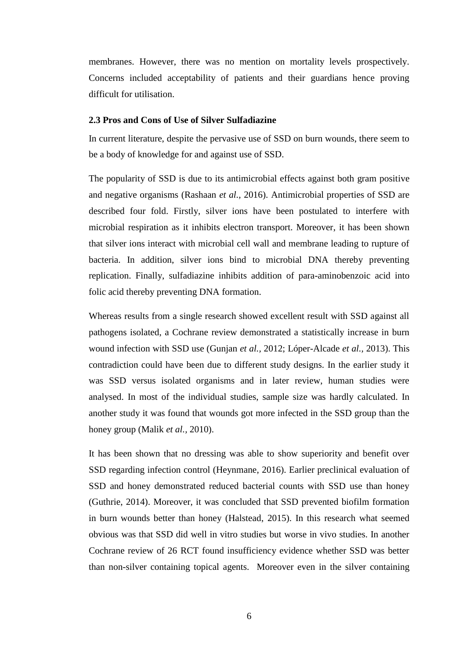membranes. However, there was no mention on mortality levels prospectively. Concerns included acceptability of patients and their guardians hence proving difficult for utilisation.

#### **2.3 Pros and Cons of Use of Silver Sulfadiazine**

In current literature, despite the pervasive use of SSD on burn wounds, there seem to be a body of knowledge for and against use of SSD.

The popularity of SSD is due to its antimicrobial effects against both gram positive and negative organisms (Rashaan *et al.,* 2016). Antimicrobial properties of SSD are described four fold. Firstly, silver ions have been postulated to interfere with microbial respiration as it inhibits electron transport. Moreover, it has been shown that silver ions interact with microbial cell wall and membrane leading to rupture of bacteria. In addition, silver ions bind to microbial DNA thereby preventing replication. Finally, sulfadiazine inhibits addition of para-aminobenzoic acid into folic acid thereby preventing DNA formation.

Whereas results from a single research showed excellent result with SSD against all pathogens isolated, a Cochrane review demonstrated a statistically increase in burn wound infection with SSD use (Gunjan *et al.,* 2012; Lóper-Alcade *et al.,* 2013). This contradiction could have been due to different study designs. In the earlier study it was SSD versus isolated organisms and in later review, human studies were analysed. In most of the individual studies, sample size was hardly calculated. In another study it was found that wounds got more infected in the SSD group than the honey group (Malik *et al.,* 2010).

It has been shown that no dressing was able to show superiority and benefit over SSD regarding infection control (Heynmane, 2016). Earlier preclinical evaluation of SSD and honey demonstrated reduced bacterial counts with SSD use than honey (Guthrie, 2014). Moreover, it was concluded that SSD prevented biofilm formation in burn wounds better than honey (Halstead, 2015). In this research what seemed obvious was that SSD did well in vitro studies but worse in vivo studies. In another Cochrane review of 26 RCT found insufficiency evidence whether SSD was better than non-silver containing topical agents. Moreover even in the silver containing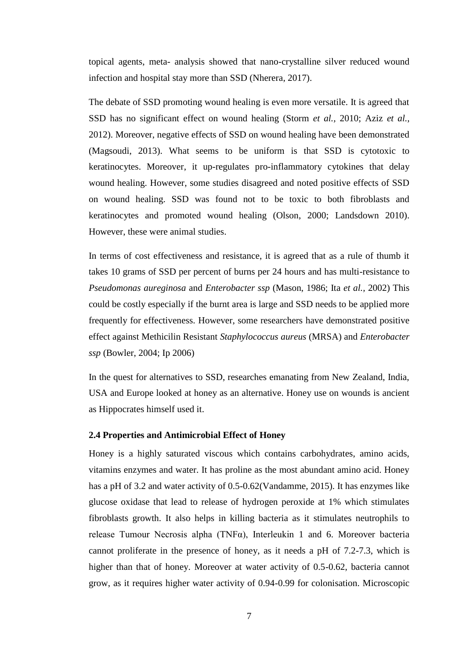topical agents, meta- analysis showed that nano-crystalline silver reduced wound infection and hospital stay more than SSD (Nherera, 2017).

The debate of SSD promoting wound healing is even more versatile. It is agreed that SSD has no significant effect on wound healing (Storm *et al.,* 2010; Aziz *et al.,* 2012). Moreover, negative effects of SSD on wound healing have been demonstrated (Magsoudi, 2013). What seems to be uniform is that SSD is cytotoxic to keratinocytes. Moreover, it up-regulates pro-inflammatory cytokines that delay wound healing. However, some studies disagreed and noted positive effects of SSD on wound healing. SSD was found not to be toxic to both fibroblasts and keratinocytes and promoted wound healing (Olson, 2000; Landsdown 2010). However, these were animal studies.

In terms of cost effectiveness and resistance, it is agreed that as a rule of thumb it takes 10 grams of SSD per percent of burns per 24 hours and has multi-resistance to *Pseudomonas aureginosa* and *Enterobacter ssp* (Mason, 1986; Ita *et al.,* 2002) This could be costly especially if the burnt area is large and SSD needs to be applied more frequently for effectiveness. However, some researchers have demonstrated positive effect against Methicilin Resistant *Staphylococcus aureus* (MRSA) and *Enterobacter ssp* (Bowler, 2004; Ip 2006)

In the quest for alternatives to SSD, researches emanating from New Zealand, India, USA and Europe looked at honey as an alternative. Honey use on wounds is ancient as Hippocrates himself used it.

#### **2.4 Properties and Antimicrobial Effect of Honey**

Honey is a highly saturated viscous which contains carbohydrates, amino acids, vitamins enzymes and water. It has proline as the most abundant amino acid. Honey has a pH of 3.2 and water activity of 0.5-0.62(Vandamme, 2015). It has enzymes like glucose oxidase that lead to release of hydrogen peroxide at 1% which stimulates fibroblasts growth. It also helps in killing bacteria as it stimulates neutrophils to release Tumour Necrosis alpha (TNFα), Interleukin 1 and 6. Moreover bacteria cannot proliferate in the presence of honey, as it needs a pH of 7.2-7.3, which is higher than that of honey. Moreover at water activity of 0.5-0.62, bacteria cannot grow, as it requires higher water activity of 0.94-0.99 for colonisation. Microscopic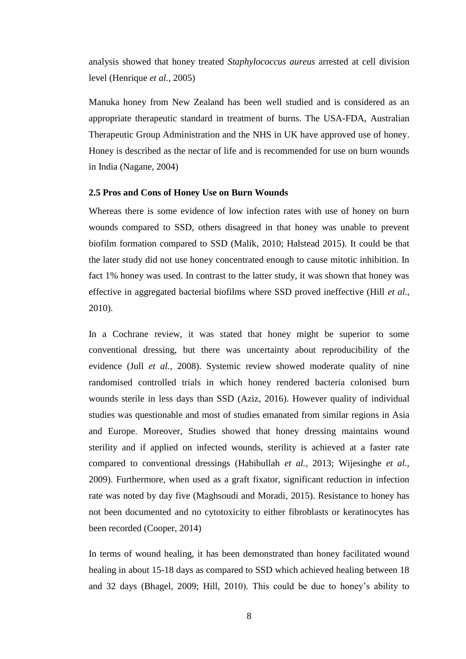analysis showed that honey treated *Staphylococcus aureus* arrested at cell division level (Henrique *et al.,* 2005)

Manuka honey from New Zealand has been well studied and is considered as an appropriate therapeutic standard in treatment of burns. The USA-FDA, Australian Therapeutic Group Administration and the NHS in UK have approved use of honey. Honey is described as the nectar of life and is recommended for use on burn wounds in India (Nagane, 2004)

#### **2.5 Pros and Cons of Honey Use on Burn Wounds**

Whereas there is some evidence of low infection rates with use of honey on burn wounds compared to SSD, others disagreed in that honey was unable to prevent biofilm formation compared to SSD (Malik, 2010; Halstead 2015). It could be that the later study did not use honey concentrated enough to cause mitotic inhibition. In fact 1% honey was used. In contrast to the latter study, it was shown that honey was effective in aggregated bacterial biofilms where SSD proved ineffective (Hill *et al.,* 2010).

In a Cochrane review, it was stated that honey might be superior to some conventional dressing, but there was uncertainty about reproducibility of the evidence (Jull *et al.,* 2008). Systemic review showed moderate quality of nine randomised controlled trials in which honey rendered bacteria colonised burn wounds sterile in less days than SSD (Aziz, 2016). However quality of individual studies was questionable and most of studies emanated from similar regions in Asia and Europe. Moreover, Studies showed that honey dressing maintains wound sterility and if applied on infected wounds, sterility is achieved at a faster rate compared to conventional dressings (Habibullah *et al.,* 2013; Wijesinghe *et al.,* 2009). Furthermore, when used as a graft fixator, significant reduction in infection rate was noted by day five (Maghsoudi and Moradi, 2015). Resistance to honey has not been documented and no cytotoxicity to either fibroblasts or keratinocytes has been recorded (Cooper, 2014)

In terms of wound healing, it has been demonstrated than honey facilitated wound healing in about 15-18 days as compared to SSD which achieved healing between 18 and 32 days (Bhagel, 2009; Hill, 2010). This could be due to honey's ability to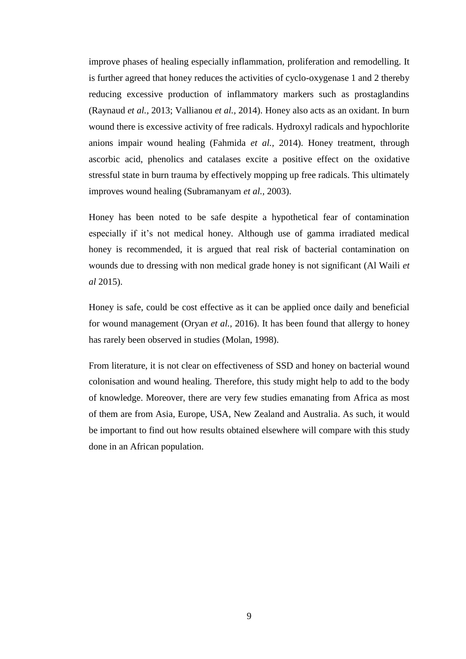improve phases of healing especially inflammation, proliferation and remodelling. It is further agreed that honey reduces the activities of cyclo-oxygenase 1 and 2 thereby reducing excessive production of inflammatory markers such as prostaglandins (Raynaud *et al.,* 2013; Vallianou *et al.,* 2014). Honey also acts as an oxidant. In burn wound there is excessive activity of free radicals. Hydroxyl radicals and hypochlorite anions impair wound healing (Fahmida *et al.,* 2014). Honey treatment, through ascorbic acid, phenolics and catalases excite a positive effect on the oxidative stressful state in burn trauma by effectively mopping up free radicals. This ultimately improves wound healing (Subramanyam *et al.,* 2003).

Honey has been noted to be safe despite a hypothetical fear of contamination especially if it's not medical honey. Although use of gamma irradiated medical honey is recommended, it is argued that real risk of bacterial contamination on wounds due to dressing with non medical grade honey is not significant (Al Waili *et al* 2015).

Honey is safe, could be cost effective as it can be applied once daily and beneficial for wound management (Oryan *et al.,* 2016). It has been found that allergy to honey has rarely been observed in studies (Molan, 1998).

From literature, it is not clear on effectiveness of SSD and honey on bacterial wound colonisation and wound healing. Therefore, this study might help to add to the body of knowledge. Moreover, there are very few studies emanating from Africa as most of them are from Asia, Europe, USA, New Zealand and Australia. As such, it would be important to find out how results obtained elsewhere will compare with this study done in an African population.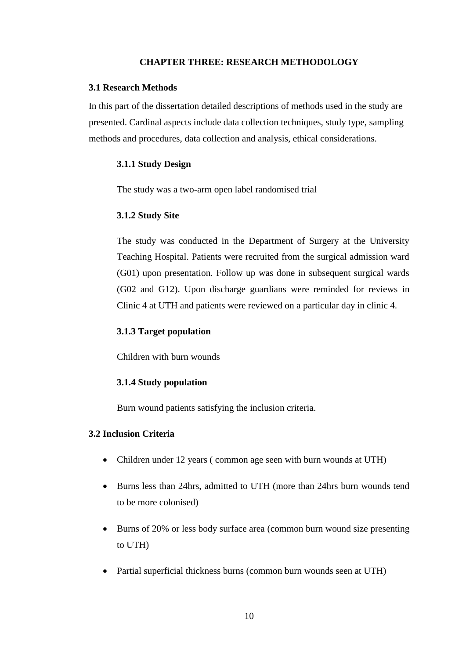#### **CHAPTER THREE: RESEARCH METHODOLOGY**

#### **3.1 Research Methods**

In this part of the dissertation detailed descriptions of methods used in the study are presented. Cardinal aspects include data collection techniques, study type, sampling methods and procedures, data collection and analysis, ethical considerations.

#### **3.1.1 Study Design**

The study was a two-arm open label randomised trial

#### **3.1.2 Study Site**

The study was conducted in the Department of Surgery at the University Teaching Hospital. Patients were recruited from the surgical admission ward (G01) upon presentation. Follow up was done in subsequent surgical wards (G02 and G12). Upon discharge guardians were reminded for reviews in Clinic 4 at UTH and patients were reviewed on a particular day in clinic 4.

#### **3.1.3 Target population**

Children with burn wounds

#### **3.1.4 Study population**

Burn wound patients satisfying the inclusion criteria.

#### **3.2 Inclusion Criteria**

- Children under 12 years ( common age seen with burn wounds at UTH)
- Burns less than 24hrs, admitted to UTH (more than 24hrs burn wounds tend to be more colonised)
- Burns of 20% or less body surface area (common burn wound size presenting to UTH)
- Partial superficial thickness burns (common burn wounds seen at UTH)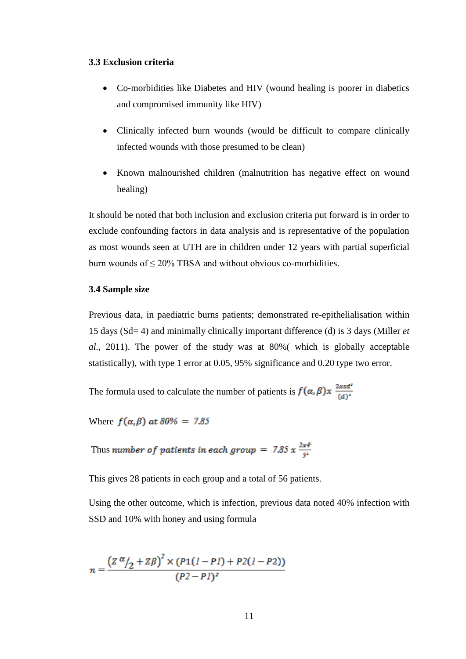#### **3.3 Exclusion criteria**

- Co-morbidities like Diabetes and HIV (wound healing is poorer in diabetics and compromised immunity like HIV)
- Clinically infected burn wounds (would be difficult to compare clinically infected wounds with those presumed to be clean)
- Known malnourished children (malnutrition has negative effect on wound healing)

It should be noted that both inclusion and exclusion criteria put forward is in order to exclude confounding factors in data analysis and is representative of the population as most wounds seen at UTH are in children under 12 years with partial superficial burn wounds of ≤ 20% TBSA and without obvious co-morbidities.

#### **3.4 Sample size**

Previous data, in paediatric burns patients; demonstrated re-epithelialisation within 15 days (Sd= 4) and minimally clinically important difference (d) is 3 days (Miller *et al.,* 2011). The power of the study was at 80%( which is globally acceptable statistically), with type 1 error at 0.05, 95% significance and 0.20 type two error.

The formula used to calculate the number of patients is  $f(\alpha, \beta)x \frac{2xsd^2}{(d)^2}$ 

Where  $f(\alpha, \beta)$  at 80% = 7.85

Thus number of patients in each group = 7.85 x  $\frac{2x4^2}{3^2}$ 

This gives 28 patients in each group and a total of 56 patients.

Using the other outcome, which is infection, previous data noted 40% infection with SSD and 10% with honey and using formula

$$
n = \frac{(Z \alpha / 2 + Z \beta)^2 \times (P1(I - PI) + P2(I - P2))}{(P2 - PI)^2}
$$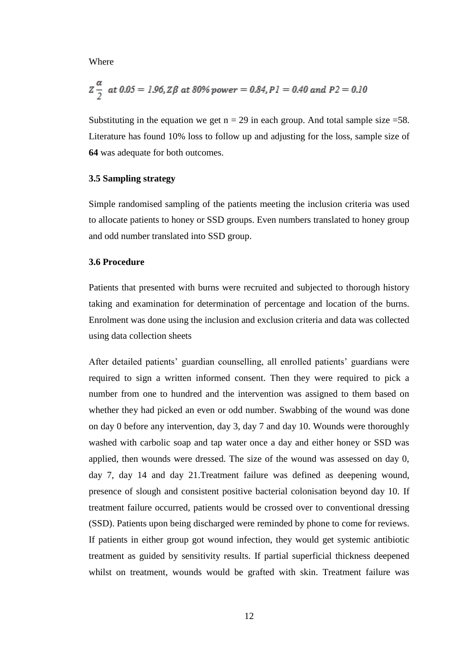Where

$$
Z\frac{\alpha}{2}
$$
 at 0.05 = 1.96, Z\beta at 80% power = 0.84, P1 = 0.40 and P2 = 0.10

Substituting in the equation we get  $n = 29$  in each group. And total sample size =58. Literature has found 10% loss to follow up and adjusting for the loss, sample size of **64** was adequate for both outcomes.

#### **3.5 Sampling strategy**

Simple randomised sampling of the patients meeting the inclusion criteria was used to allocate patients to honey or SSD groups. Even numbers translated to honey group and odd number translated into SSD group.

#### **3.6 Procedure**

Patients that presented with burns were recruited and subjected to thorough history taking and examination for determination of percentage and location of the burns. Enrolment was done using the inclusion and exclusion criteria and data was collected using data collection sheets

After detailed patients' guardian counselling, all enrolled patients' guardians were required to sign a written informed consent. Then they were required to pick a number from one to hundred and the intervention was assigned to them based on whether they had picked an even or odd number. Swabbing of the wound was done on day 0 before any intervention, day 3, day 7 and day 10. Wounds were thoroughly washed with carbolic soap and tap water once a day and either honey or SSD was applied, then wounds were dressed. The size of the wound was assessed on day 0, day 7, day 14 and day 21.Treatment failure was defined as deepening wound, presence of slough and consistent positive bacterial colonisation beyond day 10. If treatment failure occurred, patients would be crossed over to conventional dressing (SSD). Patients upon being discharged were reminded by phone to come for reviews. If patients in either group got wound infection, they would get systemic antibiotic treatment as guided by sensitivity results. If partial superficial thickness deepened whilst on treatment, wounds would be grafted with skin. Treatment failure was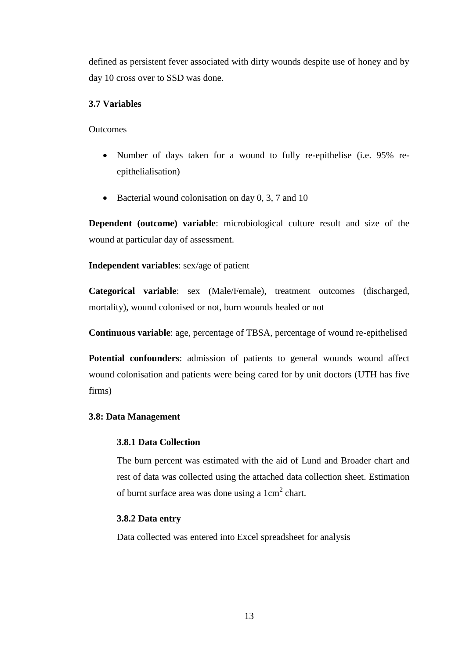defined as persistent fever associated with dirty wounds despite use of honey and by day 10 cross over to SSD was done.

#### **3.7 Variables**

**Outcomes** 

- Number of days taken for a wound to fully re-epithelise (i.e. 95% reepithelialisation)
- $\bullet$  Bacterial wound colonisation on day 0, 3, 7 and 10

**Dependent (outcome) variable**: microbiological culture result and size of the wound at particular day of assessment.

**Independent variables**: sex/age of patient

**Categorical variable**: sex (Male/Female), treatment outcomes (discharged, mortality), wound colonised or not, burn wounds healed or not

**Continuous variable**: age, percentage of TBSA, percentage of wound re-epithelised

Potential confounders: admission of patients to general wounds wound affect wound colonisation and patients were being cared for by unit doctors (UTH has five firms)

#### **3.8: Data Management**

#### **3.8.1 Data Collection**

The burn percent was estimated with the aid of Lund and Broader chart and rest of data was collected using the attached data collection sheet. Estimation of burnt surface area was done using a  $1 \text{cm}^2$  chart.

#### **3.8.2 Data entry**

Data collected was entered into Excel spreadsheet for analysis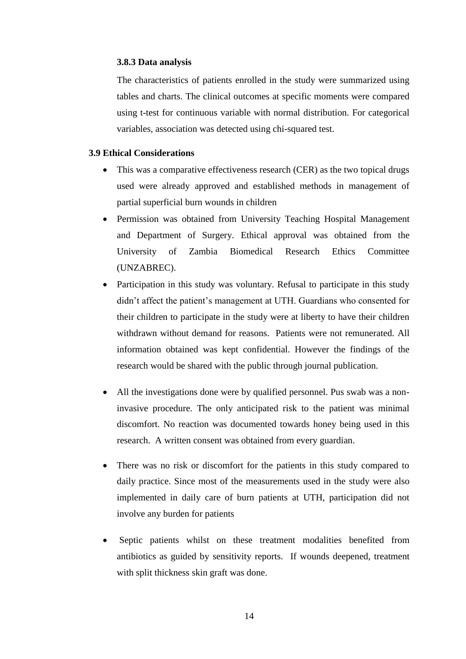#### **3.8.3 Data analysis**

The characteristics of patients enrolled in the study were summarized using tables and charts. The clinical outcomes at specific moments were compared using t-test for continuous variable with normal distribution. For categorical variables, association was detected using chi-squared test.

#### **3.9 Ethical Considerations**

- This was a comparative effectiveness research (CER) as the two topical drugs used were already approved and established methods in management of partial superficial burn wounds in children
- Permission was obtained from University Teaching Hospital Management and Department of Surgery. Ethical approval was obtained from the University of Zambia Biomedical Research Ethics Committee (UNZABREC).
- Participation in this study was voluntary. Refusal to participate in this study didn't affect the patient's management at UTH. Guardians who consented for their children to participate in the study were at liberty to have their children withdrawn without demand for reasons. Patients were not remunerated. All information obtained was kept confidential. However the findings of the research would be shared with the public through journal publication.
- All the investigations done were by qualified personnel. Pus swab was a noninvasive procedure. The only anticipated risk to the patient was minimal discomfort. No reaction was documented towards honey being used in this research. A written consent was obtained from every guardian.
- There was no risk or discomfort for the patients in this study compared to daily practice. Since most of the measurements used in the study were also implemented in daily care of burn patients at UTH, participation did not involve any burden for patients
- Septic patients whilst on these treatment modalities benefited from antibiotics as guided by sensitivity reports. If wounds deepened, treatment with split thickness skin graft was done.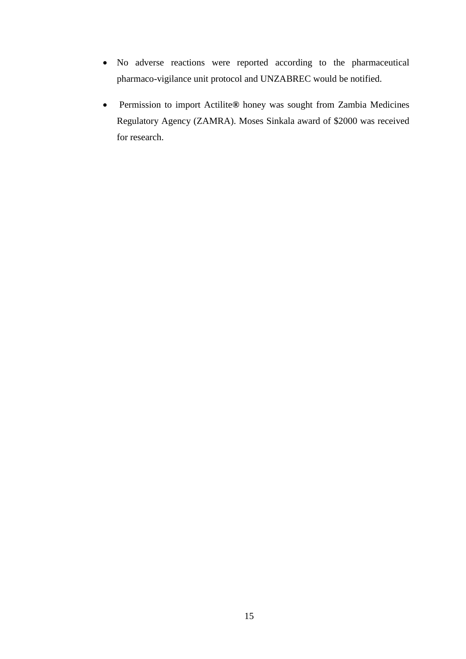- No adverse reactions were reported according to the pharmaceutical pharmaco-vigilance unit protocol and UNZABREC would be notified.
- Permission to import Actilite**®** honey was sought from Zambia Medicines Regulatory Agency (ZAMRA). Moses Sinkala award of \$2000 was received for research.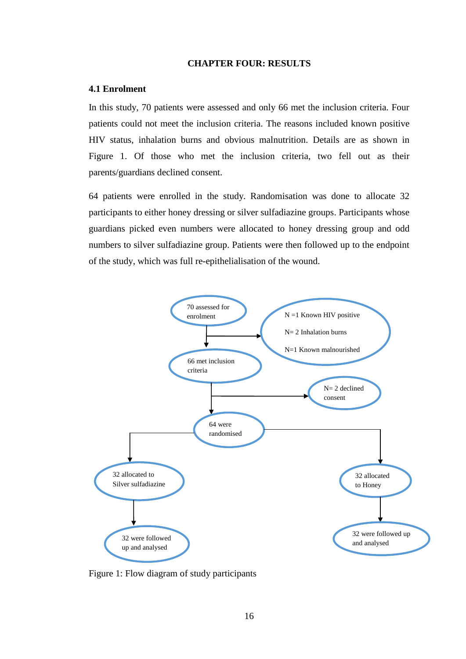#### **CHAPTER FOUR: RESULTS**

#### **4.1 Enrolment**

In this study, 70 patients were assessed and only 66 met the inclusion criteria. Four patients could not meet the inclusion criteria. The reasons included known positive HIV status, inhalation burns and obvious malnutrition. Details are as shown in Figure 1. Of those who met the inclusion criteria, two fell out as their parents/guardians declined consent.

64 patients were enrolled in the study. Randomisation was done to allocate 32 participants to either honey dressing or silver sulfadiazine groups. Participants whose guardians picked even numbers were allocated to honey dressing group and odd numbers to silver sulfadiazine group. Patients were then followed up to the endpoint of the study, which was full re-epithelialisation of the wound.



Figure 1: Flow diagram of study participants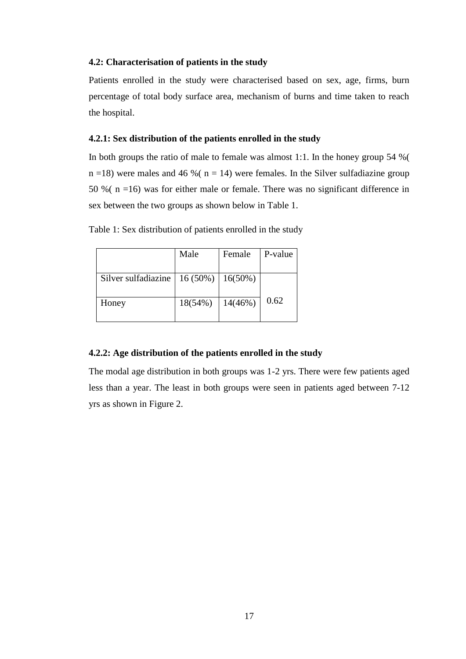#### **4.2: Characterisation of patients in the study**

Patients enrolled in the study were characterised based on sex, age, firms, burn percentage of total body surface area, mechanism of burns and time taken to reach the hospital.

#### **4.2.1: Sex distribution of the patients enrolled in the study**

In both groups the ratio of male to female was almost 1:1. In the honey group 54 %(  $n = 18$ ) were males and 46 %( $n = 14$ ) were females. In the Silver sulfadiazine group 50 %( n =16) was for either male or female. There was no significant difference in sex between the two groups as shown below in Table 1.

| Table 1: Sex distribution of patients enrolled in the study |  |  |  |  |  |
|-------------------------------------------------------------|--|--|--|--|--|
|-------------------------------------------------------------|--|--|--|--|--|

|                     | Male                 | Female     | P-value |
|---------------------|----------------------|------------|---------|
|                     |                      |            |         |
| Silver sulfadiazine | $16(50\%)$   16(50%) |            |         |
| Honey               | $18(54\%)$           | $14(46\%)$ | 0.62    |
|                     |                      |            |         |

#### **4.2.2: Age distribution of the patients enrolled in the study**

The modal age distribution in both groups was 1-2 yrs. There were few patients aged less than a year. The least in both groups were seen in patients aged between 7-12 yrs as shown in Figure 2.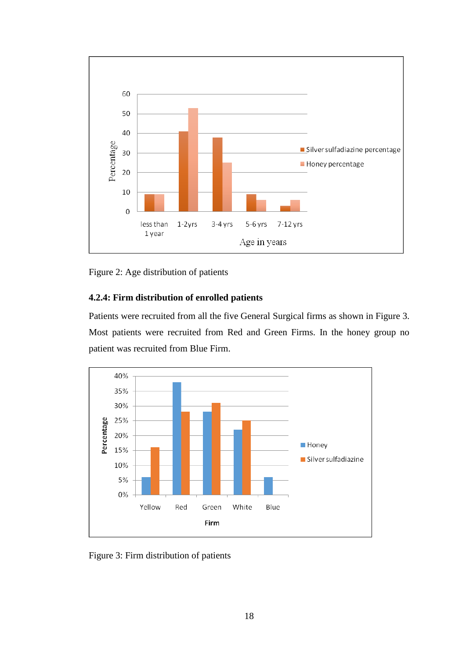

Figure 2: Age distribution of patients

## **4.2.4: Firm distribution of enrolled patients**

Patients were recruited from all the five General Surgical firms as shown in Figure 3. Most patients were recruited from Red and Green Firms. In the honey group no patient was recruited from Blue Firm.



Figure 3: Firm distribution of patients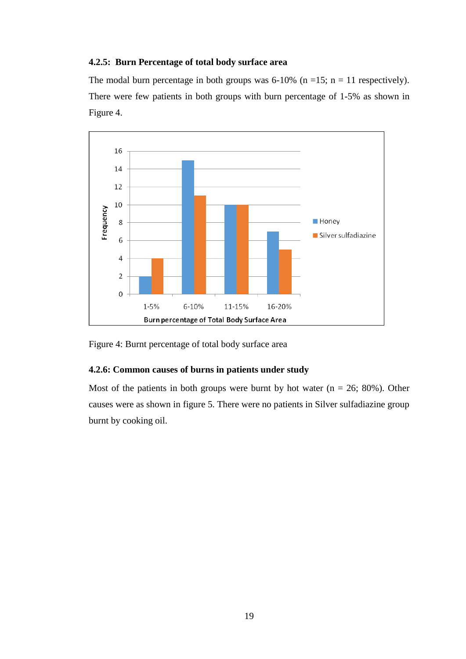#### **4.2.5: Burn Percentage of total body surface area**

The modal burn percentage in both groups was 6-10% (n =15; n = 11 respectively). There were few patients in both groups with burn percentage of 1-5% as shown in Figure 4.



Figure 4: Burnt percentage of total body surface area

#### **4.2.6: Common causes of burns in patients under study**

Most of the patients in both groups were burnt by hot water  $(n = 26, 80\%)$ . Other causes were as shown in figure 5. There were no patients in Silver sulfadiazine group burnt by cooking oil.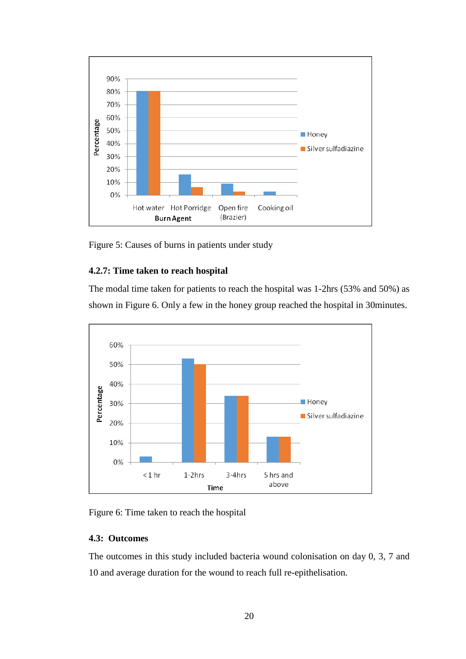

Figure 5: Causes of burns in patients under study

## **4.2.7: Time taken to reach hospital**

The modal time taken for patients to reach the hospital was 1-2hrs (53% and 50%) as shown in Figure 6. Only a few in the honey group reached the hospital in 30minutes.



Figure 6: Time taken to reach the hospital

#### **4.3: Outcomes**

The outcomes in this study included bacteria wound colonisation on day 0, 3, 7 and 10 and average duration for the wound to reach full re-epithelisation.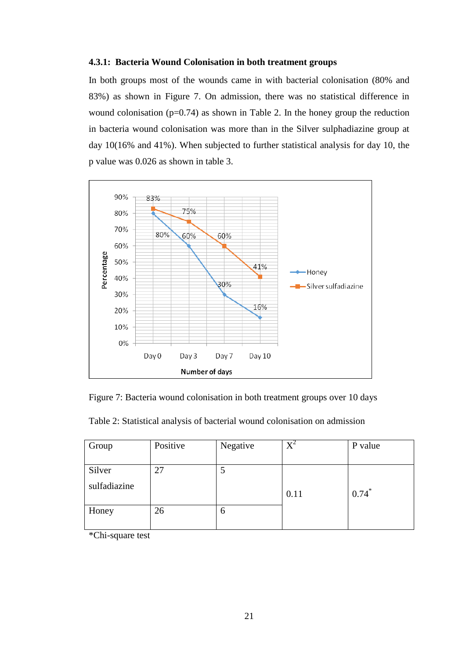#### **4.3.1: Bacteria Wound Colonisation in both treatment groups**

In both groups most of the wounds came in with bacterial colonisation (80% and 83%) as shown in Figure 7. On admission, there was no statistical difference in wound colonisation  $(p=0.74)$  as shown in Table 2. In the honey group the reduction in bacteria wound colonisation was more than in the Silver sulphadiazine group at day 10(16% and 41%). When subjected to further statistical analysis for day 10, the p value was 0.026 as shown in table 3.



Figure 7: Bacteria wound colonisation in both treatment groups over 10 days

|  | Table 2: Statistical analysis of bacterial wound colonisation on admission |  |  |  |  |  |
|--|----------------------------------------------------------------------------|--|--|--|--|--|
|--|----------------------------------------------------------------------------|--|--|--|--|--|

| Group        | Positive | Negative | $X^2$ | P value |
|--------------|----------|----------|-------|---------|
| Silver       | 27       |          |       |         |
| sulfadiazine |          |          | 0.11  | $0.74*$ |
| Honey        | 26       | O        |       |         |

\*Chi-square test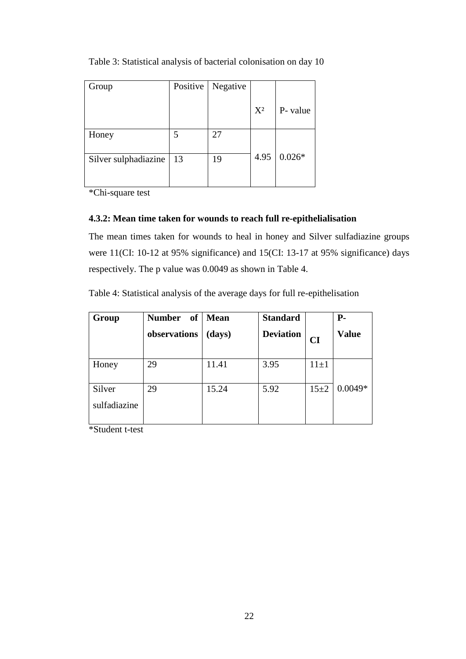| Group                | Positive | Negative |       |          |
|----------------------|----------|----------|-------|----------|
|                      |          |          | $X^2$ | P- value |
| Honey                |          | 27       |       |          |
| Silver sulphadiazine | 13       | 19       | 4.95  | $0.026*$ |

Table 3: Statistical analysis of bacterial colonisation on day 10

\*Chi-square test

## **4.3.2: Mean time taken for wounds to reach full re-epithelialisation**

The mean times taken for wounds to heal in honey and Silver sulfadiazine groups were 11(CI: 10-12 at 95% significance) and 15(CI: 13-17 at 95% significance) days respectively. The p value was 0.0049 as shown in Table 4.

Table 4: Statistical analysis of the average days for full re-epithelisation

| Group                  | <b>Number</b><br>of | <b>Mean</b> | <b>Standard</b>  |          | $P-$         |
|------------------------|---------------------|-------------|------------------|----------|--------------|
|                        | observations        | (days)      | <b>Deviation</b> | CI       | <b>Value</b> |
| Honey                  | 29                  | 11.41       | 3.95             | $11\pm1$ |              |
| Silver<br>sulfadiazine | 29                  | 15.24       | 5.92             | $15 + 2$ | $0.0049*$    |

\*Student t-test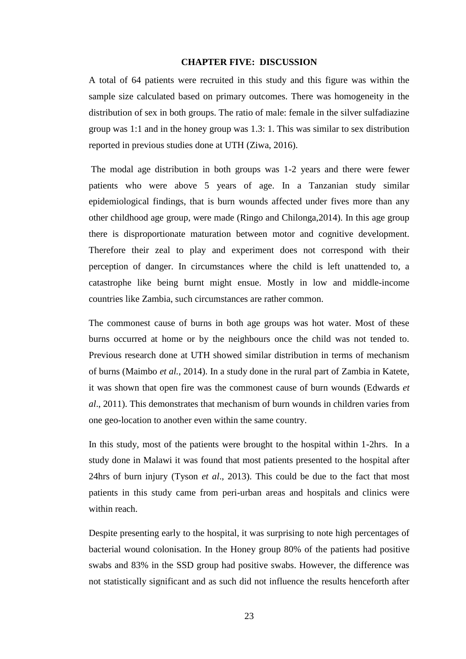#### **CHAPTER FIVE: DISCUSSION**

A total of 64 patients were recruited in this study and this figure was within the sample size calculated based on primary outcomes. There was homogeneity in the distribution of sex in both groups. The ratio of male: female in the silver sulfadiazine group was 1:1 and in the honey group was 1.3: 1. This was similar to sex distribution reported in previous studies done at UTH (Ziwa, 2016).

The modal age distribution in both groups was 1-2 years and there were fewer patients who were above 5 years of age. In a Tanzanian study similar epidemiological findings, that is burn wounds affected under fives more than any other childhood age group, were made (Ringo and Chilonga,2014). In this age group there is disproportionate maturation between motor and cognitive development. Therefore their zeal to play and experiment does not correspond with their perception of danger. In circumstances where the child is left unattended to, a catastrophe like being burnt might ensue. Mostly in low and middle-income countries like Zambia, such circumstances are rather common.

The commonest cause of burns in both age groups was hot water. Most of these burns occurred at home or by the neighbours once the child was not tended to. Previous research done at UTH showed similar distribution in terms of mechanism of burns (Maimbo *et al.,* 2014). In a study done in the rural part of Zambia in Katete, it was shown that open fire was the commonest cause of burn wounds (Edwards *et al*., 2011). This demonstrates that mechanism of burn wounds in children varies from one geo-location to another even within the same country.

In this study, most of the patients were brought to the hospital within 1-2hrs. In a study done in Malawi it was found that most patients presented to the hospital after 24hrs of burn injury (Tyson *et al*., 2013). This could be due to the fact that most patients in this study came from peri-urban areas and hospitals and clinics were within reach.

Despite presenting early to the hospital, it was surprising to note high percentages of bacterial wound colonisation. In the Honey group 80% of the patients had positive swabs and 83% in the SSD group had positive swabs. However, the difference was not statistically significant and as such did not influence the results henceforth after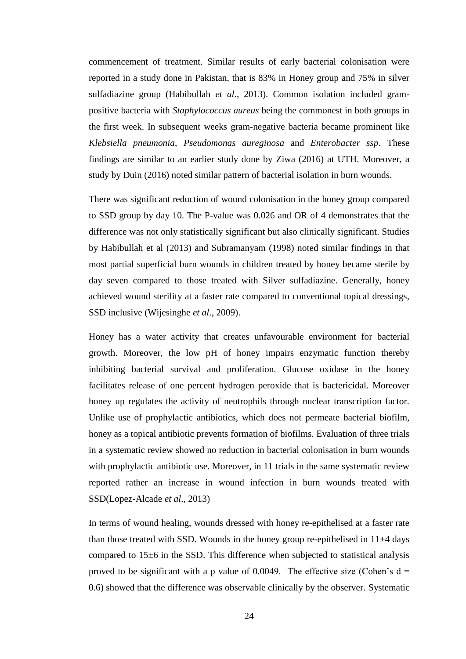commencement of treatment. Similar results of early bacterial colonisation were reported in a study done in Pakistan, that is 83% in Honey group and 75% in silver sulfadiazine group (Habibullah *et al*., 2013). Common isolation included grampositive bacteria with *Staphylococcus aureus* being the commonest in both groups in the first week. In subsequent weeks gram-negative bacteria became prominent like *Klebsiella pneumonia*, *Pseudomonas aureginosa* and *Enterobacter ssp*. These findings are similar to an earlier study done by Ziwa (2016) at UTH. Moreover, a study by Duin (2016) noted similar pattern of bacterial isolation in burn wounds.

There was significant reduction of wound colonisation in the honey group compared to SSD group by day 10. The P-value was 0.026 and OR of 4 demonstrates that the difference was not only statistically significant but also clinically significant. Studies by Habibullah et al (2013) and Subramanyam (1998) noted similar findings in that most partial superficial burn wounds in children treated by honey became sterile by day seven compared to those treated with Silver sulfadiazine. Generally, honey achieved wound sterility at a faster rate compared to conventional topical dressings, SSD inclusive (Wijesinghe *et al*., 2009).

Honey has a water activity that creates unfavourable environment for bacterial growth. Moreover, the low pH of honey impairs enzymatic function thereby inhibiting bacterial survival and proliferation. Glucose oxidase in the honey facilitates release of one percent hydrogen peroxide that is bactericidal. Moreover honey up regulates the activity of neutrophils through nuclear transcription factor. Unlike use of prophylactic antibiotics, which does not permeate bacterial biofilm, honey as a topical antibiotic prevents formation of biofilms. Evaluation of three trials in a systematic review showed no reduction in bacterial colonisation in burn wounds with prophylactic antibiotic use. Moreover, in 11 trials in the same systematic review reported rather an increase in wound infection in burn wounds treated with SSD(Lopez-Alcade *et al*., 2013)

In terms of wound healing, wounds dressed with honey re-epithelised at a faster rate than those treated with SSD. Wounds in the honey group re-epithelised in  $11\pm4$  days compared to 15±6 in the SSD. This difference when subjected to statistical analysis proved to be significant with a p value of 0.0049. The effective size (Cohen's  $d =$ 0.6) showed that the difference was observable clinically by the observer. Systematic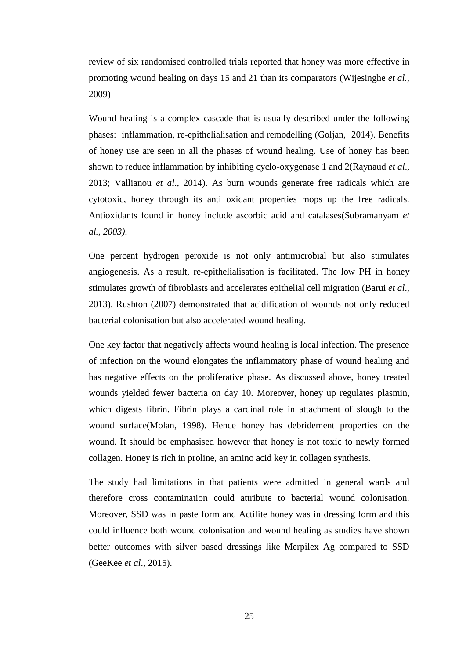review of six randomised controlled trials reported that honey was more effective in promoting wound healing on days 15 and 21 than its comparators (Wijesinghe *et al.,*  2009)

Wound healing is a complex cascade that is usually described under the following phases: inflammation, re-epithelialisation and remodelling (Goljan, 2014). Benefits of honey use are seen in all the phases of wound healing. Use of honey has been shown to reduce inflammation by inhibiting cyclo-oxygenase 1 and 2(Raynaud *et al*., 2013; Vallianou *et al*., 2014). As burn wounds generate free radicals which are cytotoxic, honey through its anti oxidant properties mops up the free radicals. Antioxidants found in honey include ascorbic acid and catalases(Subramanyam *et al., 2003)*.

One percent hydrogen peroxide is not only antimicrobial but also stimulates angiogenesis. As a result, re-epithelialisation is facilitated. The low PH in honey stimulates growth of fibroblasts and accelerates epithelial cell migration (Barui *et al*., 2013). Rushton (2007) demonstrated that acidification of wounds not only reduced bacterial colonisation but also accelerated wound healing.

One key factor that negatively affects wound healing is local infection. The presence of infection on the wound elongates the inflammatory phase of wound healing and has negative effects on the proliferative phase. As discussed above, honey treated wounds yielded fewer bacteria on day 10. Moreover, honey up regulates plasmin, which digests fibrin. Fibrin plays a cardinal role in attachment of slough to the wound surface(Molan, 1998). Hence honey has debridement properties on the wound. It should be emphasised however that honey is not toxic to newly formed collagen. Honey is rich in proline, an amino acid key in collagen synthesis.

The study had limitations in that patients were admitted in general wards and therefore cross contamination could attribute to bacterial wound colonisation. Moreover, SSD was in paste form and Actilite honey was in dressing form and this could influence both wound colonisation and wound healing as studies have shown better outcomes with silver based dressings like Merpilex Ag compared to SSD (GeeKee *et al*., 2015).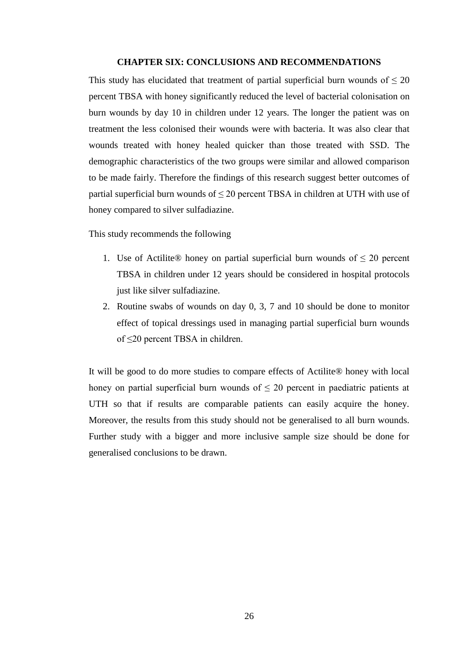#### **CHAPTER SIX: CONCLUSIONS AND RECOMMENDATIONS**

This study has elucidated that treatment of partial superficial burn wounds of  $\leq 20$ percent TBSA with honey significantly reduced the level of bacterial colonisation on burn wounds by day 10 in children under 12 years. The longer the patient was on treatment the less colonised their wounds were with bacteria. It was also clear that wounds treated with honey healed quicker than those treated with SSD. The demographic characteristics of the two groups were similar and allowed comparison to be made fairly. Therefore the findings of this research suggest better outcomes of partial superficial burn wounds of  $\leq$  20 percent TBSA in children at UTH with use of honey compared to silver sulfadiazine.

This study recommends the following

- 1. Use of Actilite® honey on partial superficial burn wounds of  $\leq 20$  percent TBSA in children under 12 years should be considered in hospital protocols just like silver sulfadiazine.
- 2. Routine swabs of wounds on day 0, 3, 7 and 10 should be done to monitor effect of topical dressings used in managing partial superficial burn wounds of ≤20 percent TBSA in children.

It will be good to do more studies to compare effects of Actilite® honey with local honey on partial superficial burn wounds of  $\leq 20$  percent in paediatric patients at UTH so that if results are comparable patients can easily acquire the honey. Moreover, the results from this study should not be generalised to all burn wounds. Further study with a bigger and more inclusive sample size should be done for generalised conclusions to be drawn.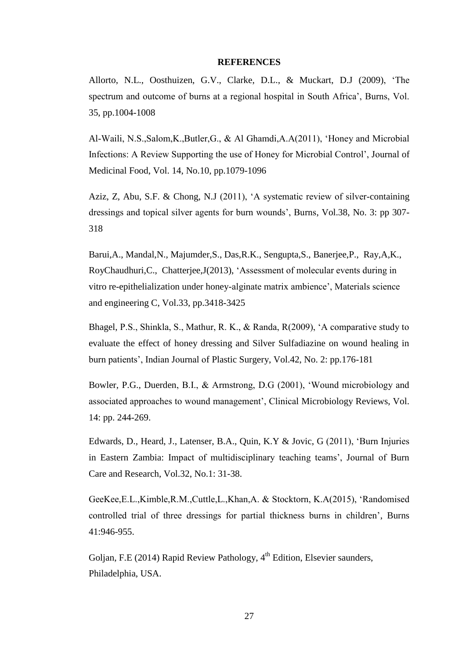#### **REFERENCES**

Allorto, N.L., Oosthuizen, G.V., Clarke, D.L., & Muckart, D.J (2009), 'The spectrum and outcome of burns at a regional hospital in South Africa', Burns, Vol. 35, pp.1004-1008

Al-Waili, N.S.,Salom,K.,Butler,G., & Al Ghamdi,A.A(2011), 'Honey and Microbial Infections: A Review Supporting the use of Honey for Microbial Control', Journal of Medicinal Food, Vol. 14, No.10, pp.1079-1096

Aziz, Z, Abu, S.F. & Chong, N.J (2011), 'A systematic review of silver-containing dressings and topical silver agents for burn wounds', Burns, Vol.38, No. 3: pp 307- 318

Barui,A., Mandal,N., Majumder,S., Das,R.K., Sengupta,S., Banerjee,P., Ray,A,K., RoyChaudhuri,C., Chatterjee,J(2013), 'Assessment of molecular events during in vitro re-epithelialization under honey-alginate matrix ambience', Materials science and engineering C, Vol.33, pp.3418-3425

Bhagel, P.S., Shinkla, S., Mathur, R. K., & Randa, R(2009), 'A comparative study to evaluate the effect of honey dressing and Silver Sulfadiazine on wound healing in burn patients', Indian Journal of Plastic Surgery, Vol.42, No. 2: pp.176-181

Bowler, P.G., Duerden, B.I., & Armstrong, D.G (2001), 'Wound microbiology and associated approaches to wound management', Clinical Microbiology Reviews, Vol. 14: pp. 244-269.

Edwards, D., Heard, J., Latenser, B.A., Quin, K.Y & Jovic, G (2011), 'Burn Injuries in Eastern Zambia: Impact of multidisciplinary teaching teams', Journal of Burn Care and Research, Vol.32, No.1: 31-38.

GeeKee,E.L.,Kimble,R.M.,Cuttle,L.,Khan,A. & Stocktorn, K.A(2015), 'Randomised controlled trial of three dressings for partial thickness burns in children', Burns 41:946-955.

Golian, F.E (2014) Rapid Review Pathology,  $4<sup>th</sup>$  Edition, Elsevier saunders, Philadelphia, USA.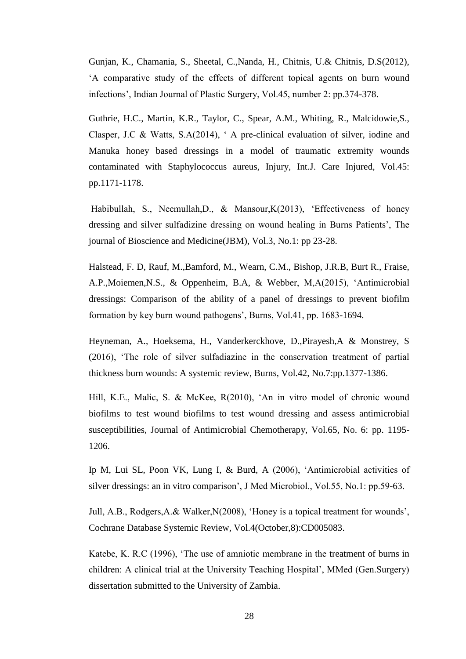Gunjan, K., Chamania, S., Sheetal, C.,Nanda, H., Chitnis, U.& Chitnis, D.S(2012), 'A comparative study of the effects of different topical agents on burn wound infections', Indian Journal of Plastic Surgery, Vol.45, number 2: pp.374-378.

Guthrie, H.C., Martin, K.R., Taylor, C., Spear, A.M., Whiting, R., Malcidowie,S., Clasper, J.C & Watts, S.A(2014), ' A pre-clinical evaluation of silver, iodine and Manuka honey based dressings in a model of traumatic extremity wounds contaminated with Staphylococcus aureus, Injury, Int.J. Care Injured, Vol.45: pp.1171-1178.

Habibullah, S., Neemullah,D., & Mansour,K(2013), 'Effectiveness of honey dressing and silver sulfadizine dressing on wound healing in Burns Patients', The journal of Bioscience and Medicine(JBM), Vol.3, No.1: pp 23-28.

Halstead, F. D, Rauf, M.,Bamford, M., Wearn, C.M., Bishop, J.R.B, Burt R., Fraise, A.P.,Moiemen,N.S., & Oppenheim, B.A, & Webber, M,A(2015), 'Antimicrobial dressings: Comparison of the ability of a panel of dressings to prevent biofilm formation by key burn wound pathogens', Burns, Vol.41, pp. 1683-1694.

Heyneman, A., Hoeksema, H., Vanderkerckhove, D.,Pirayesh,A & Monstrey, S (2016), 'The role of silver sulfadiazine in the conservation treatment of partial thickness burn wounds: A systemic review, Burns, Vol.42, No.7:pp.1377-1386.

Hill, K.E., Malic, S. & McKee, R(2010), 'An in vitro model of chronic wound biofilms to test wound biofilms to test wound dressing and assess antimicrobial susceptibilities, Journal of Antimicrobial Chemotherapy, Vol.65, No. 6: pp. 1195- 1206.

Ip M, Lui SL, Poon VK, Lung I, & Burd, A (2006), 'Antimicrobial activities of silver dressings: an in vitro comparison', J Med Microbiol., Vol.55, No.1: pp.59-63.

Jull, A.B., Rodgers,A.& Walker,N(2008), 'Honey is a topical treatment for wounds', Cochrane Database Systemic Review, Vol.4(October,8):CD005083.

Katebe, K. R.C (1996), 'The use of amniotic membrane in the treatment of burns in children: A clinical trial at the University Teaching Hospital', MMed (Gen.Surgery) dissertation submitted to the University of Zambia.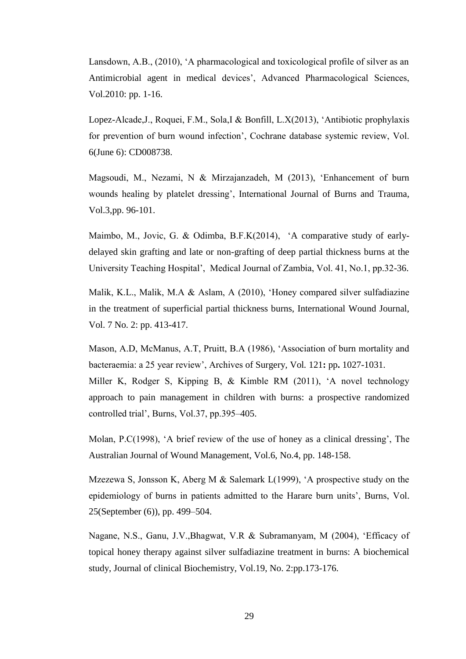Lansdown, A.B., (2010), 'A pharmacological and toxicological profile of silver as an Antimicrobial agent in medical devices', Advanced Pharmacological Sciences, Vol.2010: pp. 1-16.

Lopez-Alcade,J., Roquei, F.M., Sola,I & Bonfill, L.X(2013), 'Antibiotic prophylaxis for prevention of burn wound infection', Cochrane database systemic review, Vol. 6(June 6): CD008738.

Magsoudi, M., Nezami, N & Mirzajanzadeh, M (2013), 'Enhancement of burn wounds healing by platelet dressing', International Journal of Burns and Trauma, Vol.3,pp. 96-101.

Maimbo, M., Jovic, G. & Odimba, B.F.K(2014), 'A comparative study of earlydelayed skin grafting and late or non-grafting of deep partial thickness burns at the University Teaching Hospital', Medical Journal of Zambia, Vol. 41, No.1, pp.32-36.

Malik, K.L., Malik, M.A & Aslam, A (2010), 'Honey compared silver sulfadiazine in the treatment of superficial partial thickness burns, International Wound Journal, Vol. 7 No. 2: pp. 413-417.

Mason, A.D, McManus, A.T, Pruitt, B.A (1986), 'Association of burn mortality and bacteraemia: a 25 year review', Archives of Surgery*,* Vol*.* 121**:** pp**.** 1027-1031. Miller K, Rodger S, Kipping B, & Kimble RM (2011), 'A novel technology approach to pain management in children with burns: a prospective randomized controlled trial', Burns, Vol.37, pp.395–405.

Molan, P.C(1998), 'A brief review of the use of honey as a clinical dressing', The Australian Journal of Wound Management, Vol.6, No.4, pp. 148-158.

Mzezewa S, Jonsson K, Aberg M & Salemark L(1999), 'A prospective study on the epidemiology of burns in patients admitted to the Harare burn units', Burns, Vol. 25(September (6)), pp. 499–504.

Nagane, N.S., Ganu, J.V.,Bhagwat, V.R & Subramanyam, M (2004), 'Efficacy of topical honey therapy against silver sulfadiazine treatment in burns: A biochemical study, Journal of clinical Biochemistry, Vol.19, No. 2:pp.173-176.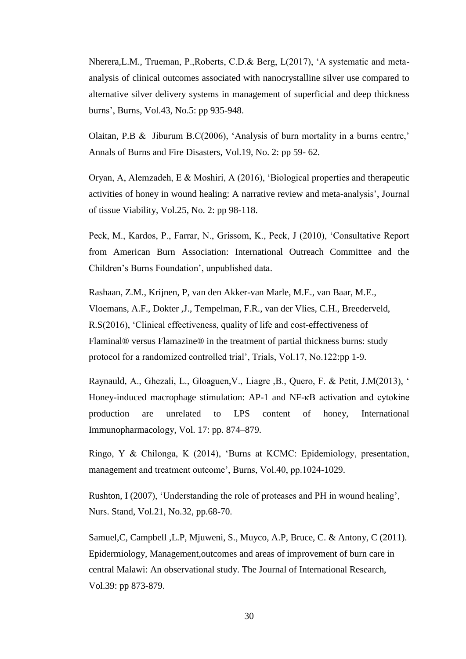Nherera,L.M., Trueman, P.,Roberts, C.D.& Berg, L(2017), 'A systematic and metaanalysis of clinical outcomes associated with nanocrystalline silver use compared to alternative silver delivery systems in management of superficial and deep thickness burns', Burns, Vol.43, No.5: pp 935-948.

Olaitan, P.B & Jiburum B.C(2006), 'Analysis of burn mortality in a burns centre,' Annals of Burns and Fire Disasters, Vol.19, No. 2: pp 59- 62.

Oryan, A, Alemzadeh, E & Moshiri, A (2016), 'Biological properties and therapeutic activities of honey in wound healing: A narrative review and meta-analysis', Journal of tissue Viability, Vol.25, No. 2: pp 98-118.

Peck, M., Kardos, P., Farrar, N., Grissom, K., Peck, J (2010), 'Consultative Report from American Burn Association: International Outreach Committee and the Children's Burns Foundation', unpublished data.

[Rashaan,](https://www.ncbi.nlm.nih.gov/pubmed/?term=Rashaan%20ZM%5BAuthor%5D&cauthor=true&cauthor_uid=26945575) Z.M., [Krijnen, P,](https://www.ncbi.nlm.nih.gov/pubmed/?term=Krijnen%20P%5BAuthor%5D&cauthor=true&cauthor_uid=26945575) [van den Akker-van Marle, M.E.](https://www.ncbi.nlm.nih.gov/pubmed/?term=van%20den%20Akker-van%20Marle%20ME%5BAuthor%5D&cauthor=true&cauthor_uid=26945575), [van Baar, M.E.](https://www.ncbi.nlm.nih.gov/pubmed/?term=van%20Baar%20ME%5BAuthor%5D&cauthor=true&cauthor_uid=26945575), [Vloemans, A.F.](https://www.ncbi.nlm.nih.gov/pubmed/?term=Vloemans%20AF%5BAuthor%5D&cauthor=true&cauthor_uid=26945575), Dokter ,J., [Tempelman, F.R.](https://www.ncbi.nlm.nih.gov/pubmed/?term=Tempelman%20FR%5BAuthor%5D&cauthor=true&cauthor_uid=26945575), [van der Vlies, C.H.](https://www.ncbi.nlm.nih.gov/pubmed/?term=van%20der%20Vlies%20CH%5BAuthor%5D&cauthor=true&cauthor_uid=26945575), [Breederveld,](https://www.ncbi.nlm.nih.gov/pubmed/?term=Breederveld%20RS%5BAuthor%5D&cauthor=true&cauthor_uid=26945575)  [R.S\(](https://www.ncbi.nlm.nih.gov/pubmed/?term=Breederveld%20RS%5BAuthor%5D&cauthor=true&cauthor_uid=26945575)2016), 'Clinical effectiveness, quality of life and cost-effectiveness of Flaminal® versus Flamazine® in the treatment of partial thickness burns: study protocol for a randomized controlled trial', Trials, Vol.17, No.122:pp 1-9.

Raynauld, A., Ghezali, L., Gloaguen,V., Liagre ,B., Quero, F. & Petit, J.M(2013), ' Honey-induced macrophage stimulation: AP-1 and NF-κB activation and cytokine production are unrelated to LPS content of honey, International Immunopharmacology, Vol. 17: pp. 874–879.

Ringo, Y & Chilonga, K (2014), 'Burns at KCMC: Epidemiology, presentation, management and treatment outcome', Burns, Vol.40, pp.1024-1029.

Rushton, I (2007), 'Understanding the role of proteases and PH in wound healing', Nurs. Stand, Vol.21, No.32, pp.68-70.

Samuel,C, Campbell ,L.P, Mjuweni, S., Muyco, A.P, Bruce, C. & Antony, C (2011). Epidermiology, Management,outcomes and areas of improvement of burn care in central Malawi: An observational study. The Journal of International Research, Vol.39: pp 873-879.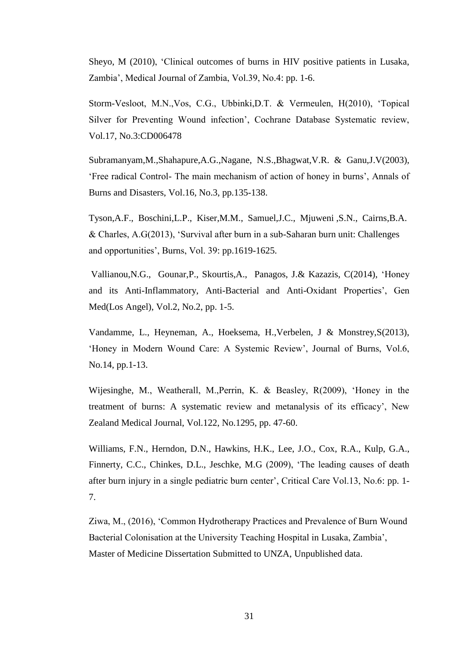Sheyo, M (2010), 'Clinical outcomes of burns in HIV positive patients in Lusaka, Zambia', Medical Journal of Zambia, Vol.39, No.4: pp. 1-6.

Storm-Vesloot, M.N.,Vos, C.G., Ubbinki,D.T. & Vermeulen, H(2010), 'Topical Silver for Preventing Wound infection', Cochrane Database Systematic review, Vol.17, No.3:CD006478

Subramanyam,M.,Shahapure,A.G.,Nagane, N.S.,Bhagwat,V.R. & Ganu,J.V(2003), 'Free radical Control- The main mechanism of action of honey in burns', Annals of Burns and Disasters, Vol.16, No.3, pp.135-138.

Tyson,A.F., Boschini,L.P., Kiser,M.M., Samuel,J.C., Mjuweni ,S.N., Cairns,B.A. & Charles, A.G(2013), 'Survival after burn in a sub-Saharan burn unit: Challenges and opportunities', Burns, Vol. 39: pp.1619-1625.

Vallianou,N.G., Gounar,P., Skourtis,A., Panagos, J.& Kazazis, C(2014), 'Honey and its Anti-Inflammatory, Anti-Bacterial and Anti-Oxidant Properties', Gen Med(Los Angel), Vol.2, No.2, pp. 1-5.

Vandamme, L., Heyneman, A., Hoeksema, H.,Verbelen, J & Monstrey,S(2013), 'Honey in Modern Wound Care: A Systemic Review', Journal of Burns, Vol.6, No.14, pp.1-13.

Wijesinghe, M., Weatherall, M.,Perrin, K. & Beasley, R(2009), 'Honey in the treatment of burns: A systematic review and metanalysis of its efficacy', New Zealand Medical Journal, Vol.122, No.1295, pp. 47-60.

Williams, F.N., [Herndon, D.N.](https://www.ncbi.nlm.nih.gov/pubmed/?term=Herndon%20DN%5BAuthor%5D&cauthor=true&cauthor_uid=19919684), [Hawkins, H.K.](https://www.ncbi.nlm.nih.gov/pubmed/?term=Hawkins%20HK%5BAuthor%5D&cauthor=true&cauthor_uid=19919684), [Lee, J.O.](https://www.ncbi.nlm.nih.gov/pubmed/?term=Lee%20JO%5BAuthor%5D&cauthor=true&cauthor_uid=19919684), [Cox, R.A.](https://www.ncbi.nlm.nih.gov/pubmed/?term=Cox%20RA%5BAuthor%5D&cauthor=true&cauthor_uid=19919684), [Kulp, G.A.](https://www.ncbi.nlm.nih.gov/pubmed/?term=Kulp%20GA%5BAuthor%5D&cauthor=true&cauthor_uid=19919684), [Finnerty, C.C.](https://www.ncbi.nlm.nih.gov/pubmed/?term=Finnerty%20CC%5BAuthor%5D&cauthor=true&cauthor_uid=19919684), [Chinkes, D.L.](https://www.ncbi.nlm.nih.gov/pubmed/?term=Chinkes%20DL%5BAuthor%5D&cauthor=true&cauthor_uid=19919684), [Jeschke, M.G](https://www.ncbi.nlm.nih.gov/pubmed/?term=Jeschke%20MG%5BAuthor%5D&cauthor=true&cauthor_uid=19919684) (2009), 'The leading causes of death after burn injury in a single pediatric burn center', Critical Care Vol.13, No.6: pp. 1- 7.

Ziwa, M., (2016), 'Common Hydrotherapy Practices and Prevalence of Burn Wound Bacterial Colonisation at the University Teaching Hospital in Lusaka, Zambia', Master of Medicine Dissertation Submitted to UNZA, Unpublished data.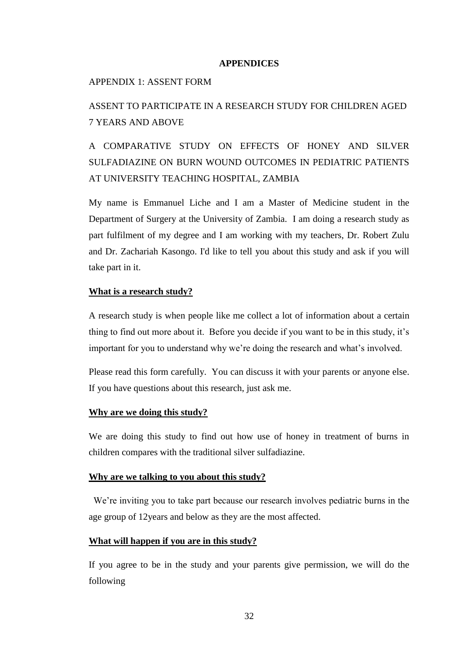#### **APPENDICES**

#### APPENDIX 1: ASSENT FORM

## ASSENT TO PARTICIPATE IN A RESEARCH STUDY FOR CHILDREN AGED 7 YEARS AND ABOVE

A COMPARATIVE STUDY ON EFFECTS OF HONEY AND SILVER SULFADIAZINE ON BURN WOUND OUTCOMES IN PEDIATRIC PATIENTS AT UNIVERSITY TEACHING HOSPITAL, ZAMBIA

My name is Emmanuel Liche and I am a Master of Medicine student in the Department of Surgery at the University of Zambia. I am doing a research study as part fulfilment of my degree and I am working with my teachers, Dr. Robert Zulu and Dr. Zachariah Kasongo. I'd like to tell you about this study and ask if you will take part in it.

#### **What is a research study?**

A research study is when people like me collect a lot of information about a certain thing to find out more about it. Before you decide if you want to be in this study, it's important for you to understand why we're doing the research and what's involved.

Please read this form carefully. You can discuss it with your parents or anyone else. If you have questions about this research, just ask me.

#### **Why are we doing this study?**

We are doing this study to find out how use of honey in treatment of burns in children compares with the traditional silver sulfadiazine.

#### **Why are we talking to you about this study?**

 We're inviting you to take part because our research involves pediatric burns in the age group of 12years and below as they are the most affected.

#### **What will happen if you are in this study?**

If you agree to be in the study and your parents give permission, we will do the following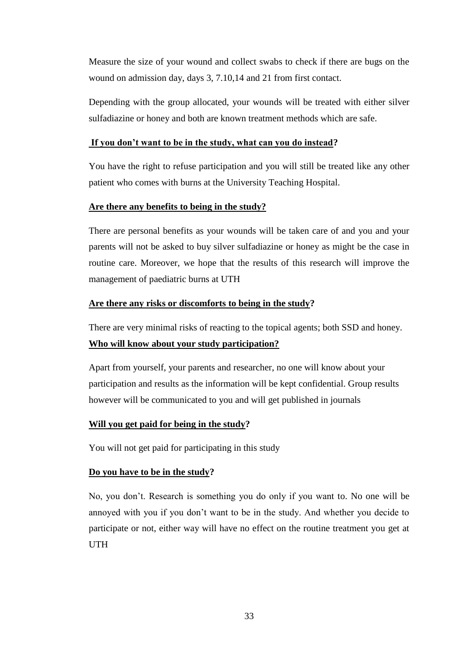Measure the size of your wound and collect swabs to check if there are bugs on the wound on admission day, days 3, 7.10,14 and 21 from first contact.

Depending with the group allocated, your wounds will be treated with either silver sulfadiazine or honey and both are known treatment methods which are safe.

#### **If you don't want to be in the study, what can you do instead?**

You have the right to refuse participation and you will still be treated like any other patient who comes with burns at the University Teaching Hospital.

### **Are there any benefits to being in the study?**

There are personal benefits as your wounds will be taken care of and you and your parents will not be asked to buy silver sulfadiazine or honey as might be the case in routine care. Moreover, we hope that the results of this research will improve the management of paediatric burns at UTH

### **Are there any risks or discomforts to being in the study?**

There are very minimal risks of reacting to the topical agents; both SSD and honey. **Who will know about your study participation?**

Apart from yourself, your parents and researcher, no one will know about your participation and results as the information will be kept confidential. Group results however will be communicated to you and will get published in journals

## **Will you get paid for being in the study?**

You will not get paid for participating in this study

#### **Do you have to be in the study?**

No, you don't. Research is something you do only if you want to. No one will be annoyed with you if you don't want to be in the study. And whether you decide to participate or not, either way will have no effect on the routine treatment you get at UTH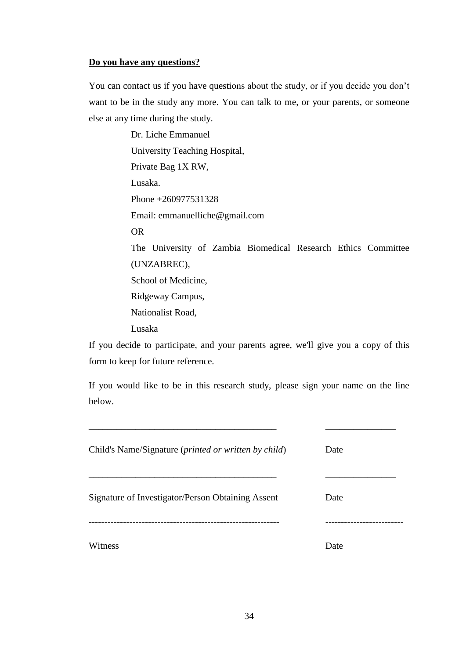#### **Do you have any questions?**

You can contact us if you have questions about the study, or if you decide you don't want to be in the study any more. You can talk to me, or your parents, or someone else at any time during the study.

> Dr. Liche Emmanuel University Teaching Hospital, Private Bag 1X RW, Lusaka. Phone +260977531328 Email: emmanuelliche@gmail.com OR The University of Zambia Biomedical Research Ethics Committee (UNZABREC), School of Medicine, Ridgeway Campus, Nationalist Road, Lusaka

If you decide to participate, and your parents agree, we'll give you a copy of this form to keep for future reference.

If you would like to be in this research study, please sign your name on the line below.

| Child's Name/Signature ( <i>printed or written by child</i> ) | Date |
|---------------------------------------------------------------|------|
| Signature of Investigator/Person Obtaining Assent             | Date |
|                                                               |      |
| Witness                                                       | Date |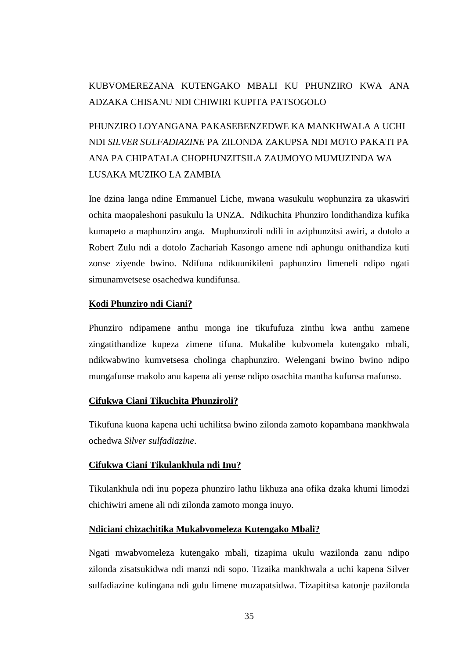## KUBVOMEREZANA KUTENGAKO MBALI KU PHUNZIRO KWA ANA ADZAKA CHISANU NDI CHIWIRI KUPITA PATSOGOLO

# PHUNZIRO LOYANGANA PAKASEBENZEDWE KA MANKHWALA A UCHI NDI *SILVER SULFADIAZINE* PA ZILONDA ZAKUPSA NDI MOTO PAKATI PA ANA PA CHIPATALA CHOPHUNZITSILA ZAUMOYO MUMUZINDA WA LUSAKA MUZIKO LA ZAMBIA

Ine dzina langa ndine Emmanuel Liche, mwana wasukulu wophunzira za ukaswiri ochita maopaleshoni pasukulu la UNZA. Ndikuchita Phunziro londithandiza kufika kumapeto a maphunziro anga. Muphunziroli ndili in aziphunzitsi awiri, a dotolo a Robert Zulu ndi a dotolo Zachariah Kasongo amene ndi aphungu onithandiza kuti zonse ziyende bwino. Ndifuna ndikuunikileni paphunziro limeneli ndipo ngati simunamvetsese osachedwa kundifunsa.

### **Kodi Phunziro ndi Ciani?**

Phunziro ndipamene anthu monga ine tikufufuza zinthu kwa anthu zamene zingatithandize kupeza zimene tifuna. Mukalibe kubvomela kutengako mbali, ndikwabwino kumvetsesa cholinga chaphunziro. Welengani bwino bwino ndipo mungafunse makolo anu kapena ali yense ndipo osachita mantha kufunsa mafunso.

#### **Cifukwa Ciani Tikuchita Phunziroli?**

Tikufuna kuona kapena uchi uchilitsa bwino zilonda zamoto kopambana mankhwala ochedwa *Silver sulfadiazine*.

## **Cifukwa Ciani Tikulankhula ndi Inu?**

Tikulankhula ndi inu popeza phunziro lathu likhuza ana ofika dzaka khumi limodzi chichiwiri amene ali ndi zilonda zamoto monga inuyo.

#### **Ndiciani chizachitika Mukabvomeleza Kutengako Mbali?**

Ngati mwabvomeleza kutengako mbali, tizapima ukulu wazilonda zanu ndipo zilonda zisatsukidwa ndi manzi ndi sopo. Tizaika mankhwala a uchi kapena Silver sulfadiazine kulingana ndi gulu limene muzapatsidwa. Tizapititsa katonje pazilonda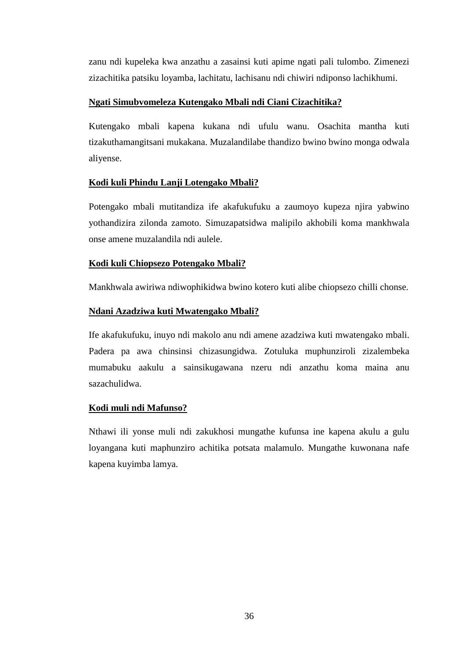zanu ndi kupeleka kwa anzathu a zasainsi kuti apime ngati pali tulombo. Zimenezi zizachitika patsiku loyamba, lachitatu, lachisanu ndi chiwiri ndiponso lachikhumi.

## **Ngati Simubvomeleza Kutengako Mbali ndi Ciani Cizachitika?**

Kutengako mbali kapena kukana ndi ufulu wanu. Osachita mantha kuti tizakuthamangitsani mukakana. Muzalandilabe thandizo bwino bwino monga odwala aliyense.

## **Kodi kuli Phindu Lanji Lotengako Mbali?**

Potengako mbali mutitandiza ife akafukufuku a zaumoyo kupeza njira yabwino yothandizira zilonda zamoto. Simuzapatsidwa malipilo akhobili koma mankhwala onse amene muzalandila ndi aulele.

## **Kodi kuli Chiopsezo Potengako Mbali?**

Mankhwala awiriwa ndiwophikidwa bwino kotero kuti alibe chiopsezo chilli chonse.

## **Ndani Azadziwa kuti Mwatengako Mbali?**

Ife akafukufuku, inuyo ndi makolo anu ndi amene azadziwa kuti mwatengako mbali. Padera pa awa chinsinsi chizasungidwa. Zotuluka muphunziroli zizalembeka mumabuku aakulu a sainsikugawana nzeru ndi anzathu koma maina anu sazachulidwa.

## **Kodi muli ndi Mafunso?**

Nthawi ili yonse muli ndi zakukhosi mungathe kufunsa ine kapena akulu a gulu loyangana kuti maphunziro achitika potsata malamulo. Mungathe kuwonana nafe kapena kuyimba lamya.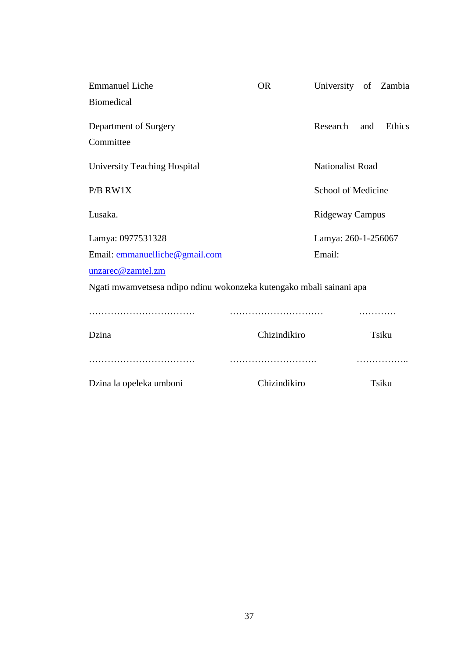| <b>Emmanuel Liche</b>                                               | <b>OR</b>    | University of Zambia    |     |        |
|---------------------------------------------------------------------|--------------|-------------------------|-----|--------|
| <b>Biomedical</b>                                                   |              |                         |     |        |
| Department of Surgery                                               |              | Research                | and | Ethics |
| Committee                                                           |              |                         |     |        |
| University Teaching Hospital                                        |              | <b>Nationalist Road</b> |     |        |
| P/B RW1X                                                            |              | School of Medicine      |     |        |
| Lusaka.                                                             |              | Ridgeway Campus         |     |        |
| Lamya: 0977531328                                                   |              | Lamya: 260-1-256067     |     |        |
| Email: emmanuelliche@gmail.com                                      |              | Email:                  |     |        |
| unzarec@zamtel.zm                                                   |              |                         |     |        |
| Ngati mwamvetsesa ndipo ndinu wokonzeka kutengako mbali sainani apa |              |                         |     |        |
|                                                                     |              |                         |     |        |
| Dzina                                                               | Chizindikiro |                         |     | Tsiku  |
| Dzina la opeleka umboni                                             | Chizindikiro |                         |     | Tsiku  |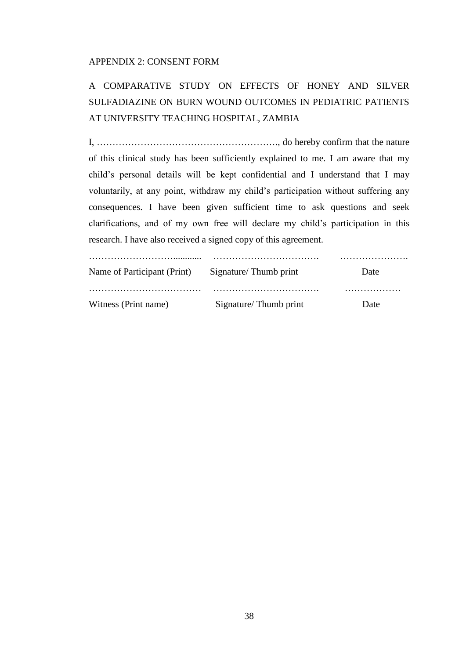#### APPENDIX 2: CONSENT FORM

# A COMPARATIVE STUDY ON EFFECTS OF HONEY AND SILVER SULFADIAZINE ON BURN WOUND OUTCOMES IN PEDIATRIC PATIENTS AT UNIVERSITY TEACHING HOSPITAL, ZAMBIA

I, …………………………………………………., do hereby confirm that the nature of this clinical study has been sufficiently explained to me. I am aware that my child's personal details will be kept confidential and I understand that I may voluntarily, at any point, withdraw my child's participation without suffering any consequences. I have been given sufficient time to ask questions and seek clarifications, and of my own free will declare my child's participation in this research. I have also received a signed copy of this agreement.

| Name of Participant (Print) | Signature/Thumb print | Date |
|-----------------------------|-----------------------|------|
| Witness (Print name)        | Signature/Thumb print | Date |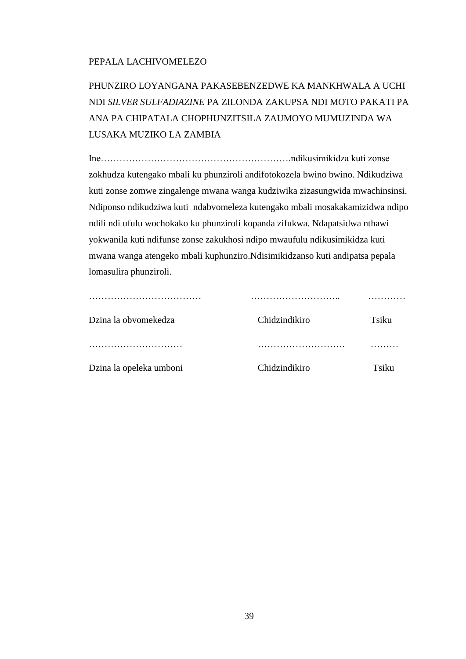## PEPALA LACHIVOMELEZO

PHUNZIRO LOYANGANA PAKASEBENZEDWE KA MANKHWALA A UCHI NDI *SILVER SULFADIAZINE* PA ZILONDA ZAKUPSA NDI MOTO PAKATI PA ANA PA CHIPATALA CHOPHUNZITSILA ZAUMOYO MUMUZINDA WA LUSAKA MUZIKO LA ZAMBIA

Ine…………………………………………………….ndikusimikidza kuti zonse zokhudza kutengako mbali ku phunziroli andifotokozela bwino bwino. Ndikudziwa kuti zonse zomwe zingalenge mwana wanga kudziwika zizasungwida mwachinsinsi. Ndiponso ndikudziwa kuti ndabvomeleza kutengako mbali mosakakamizidwa ndipo ndili ndi ufulu wochokako ku phunziroli kopanda zifukwa. Ndapatsidwa nthawi yokwanila kuti ndifunse zonse zakukhosi ndipo mwaufulu ndikusimikidza kuti mwana wanga atengeko mbali kuphunziro.Ndisimikidzanso kuti andipatsa pepala lomasulira phunziroli.

| Dzina la obvomekedza    | Chidzindikiro | Tsiku |
|-------------------------|---------------|-------|
|                         |               |       |
| Dzina la opeleka umboni | Chidzindikiro | Tsiku |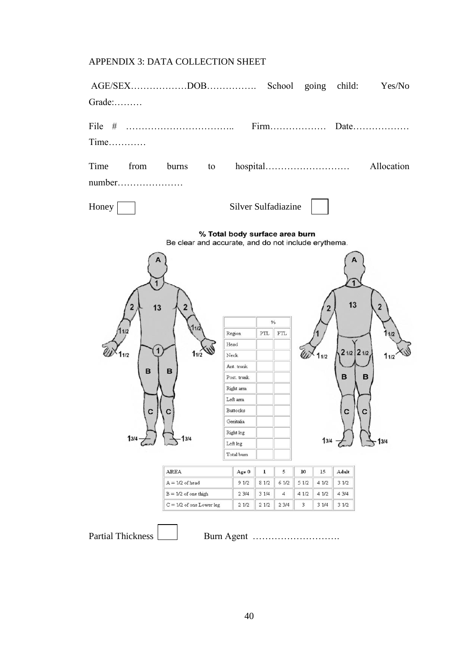## APPENDIX 3: DATA COLLECTION SHEET

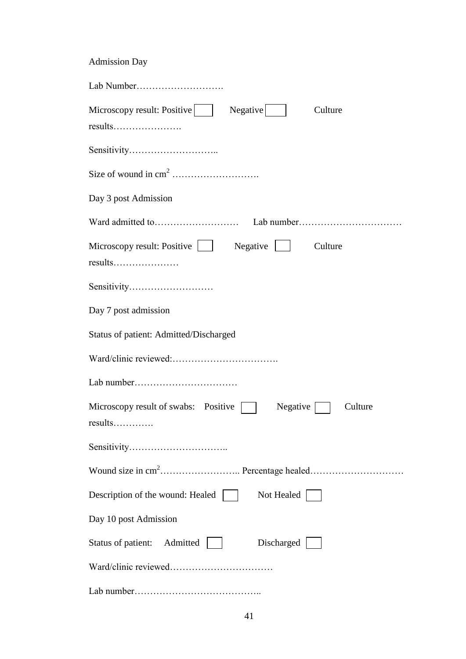| <b>Admission Day</b>                                                  |
|-----------------------------------------------------------------------|
|                                                                       |
| Microscopy result: Positive<br>$Negative$  <br>Culture<br>results     |
|                                                                       |
|                                                                       |
| Day 3 post Admission                                                  |
|                                                                       |
| Microscopy result: Positive     Negative     Culture                  |
| Sensitivity                                                           |
| Day 7 post admission                                                  |
| Status of patient: Admitted/Discharged                                |
|                                                                       |
|                                                                       |
| Microscopy result of swabs: Positive    <br>$Negative$    <br>Culture |
|                                                                       |
|                                                                       |
| Description of the wound: Healed  <br>Not Healed                      |
| Day 10 post Admission                                                 |
| Discharged<br>Status of patient: Admitted                             |
|                                                                       |
|                                                                       |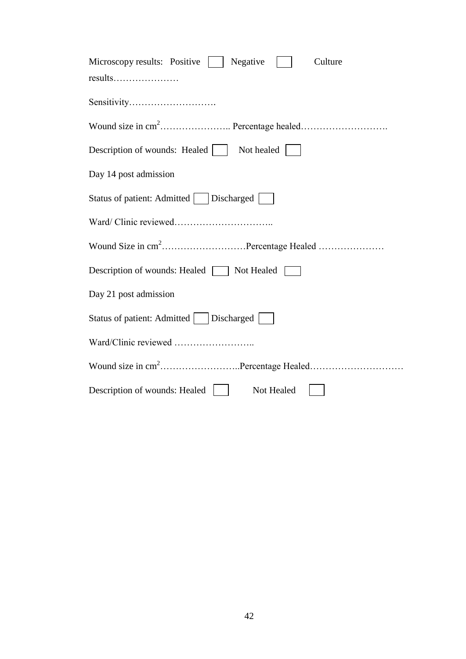| Microscopy results: Positive<br>Negative<br>Culture |
|-----------------------------------------------------|
|                                                     |
| Sensitivity                                         |
|                                                     |
| Not healed  <br>Description of wounds: Healed       |
| Day 14 post admission                               |
| Status of patient: Admitted     Discharged          |
|                                                     |
|                                                     |
| Description of wounds: Healed   Not Healed          |
| Day 21 post admission                               |
| Status of patient: Admitted     Discharged          |
|                                                     |
|                                                     |
| Description of wounds: Healed<br>Not Healed         |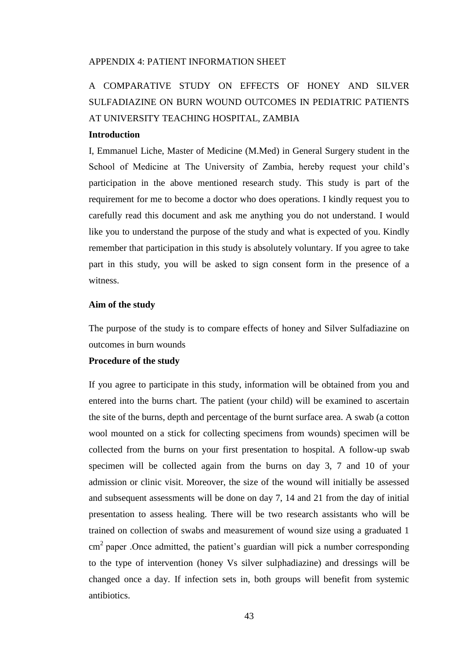#### APPENDIX 4: PATIENT INFORMATION SHEET

## A COMPARATIVE STUDY ON EFFECTS OF HONEY AND SILVER SULFADIAZINE ON BURN WOUND OUTCOMES IN PEDIATRIC PATIENTS AT UNIVERSITY TEACHING HOSPITAL, ZAMBIA

#### **Introduction**

I, Emmanuel Liche, Master of Medicine (M.Med) in General Surgery student in the School of Medicine at The University of Zambia, hereby request your child's participation in the above mentioned research study. This study is part of the requirement for me to become a doctor who does operations. I kindly request you to carefully read this document and ask me anything you do not understand. I would like you to understand the purpose of the study and what is expected of you. Kindly remember that participation in this study is absolutely voluntary. If you agree to take part in this study, you will be asked to sign consent form in the presence of a witness.

#### **Aim of the study**

The purpose of the study is to compare effects of honey and Silver Sulfadiazine on outcomes in burn wounds

#### **Procedure of the study**

If you agree to participate in this study, information will be obtained from you and entered into the burns chart. The patient (your child) will be examined to ascertain the site of the burns, depth and percentage of the burnt surface area. A swab (a cotton wool mounted on a stick for collecting specimens from wounds) specimen will be collected from the burns on your first presentation to hospital. A follow-up swab specimen will be collected again from the burns on day 3, 7 and 10 of your admission or clinic visit. Moreover, the size of the wound will initially be assessed and subsequent assessments will be done on day 7, 14 and 21 from the day of initial presentation to assess healing. There will be two research assistants who will be trained on collection of swabs and measurement of wound size using a graduated 1  $\text{cm}^2$  paper .Once admitted, the patient's guardian will pick a number corresponding to the type of intervention (honey Vs silver sulphadiazine) and dressings will be changed once a day. If infection sets in, both groups will benefit from systemic antibiotics.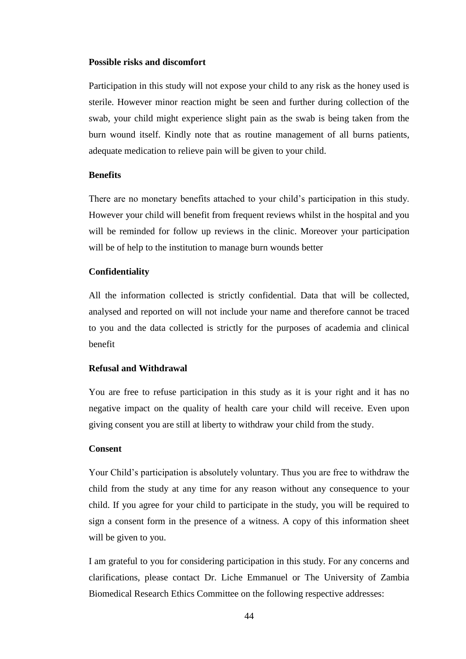#### **Possible risks and discomfort**

Participation in this study will not expose your child to any risk as the honey used is sterile. However minor reaction might be seen and further during collection of the swab, your child might experience slight pain as the swab is being taken from the burn wound itself. Kindly note that as routine management of all burns patients, adequate medication to relieve pain will be given to your child.

#### **Benefits**

There are no monetary benefits attached to your child's participation in this study. However your child will benefit from frequent reviews whilst in the hospital and you will be reminded for follow up reviews in the clinic. Moreover your participation will be of help to the institution to manage burn wounds better

#### **Confidentiality**

All the information collected is strictly confidential. Data that will be collected, analysed and reported on will not include your name and therefore cannot be traced to you and the data collected is strictly for the purposes of academia and clinical benefit

#### **Refusal and Withdrawal**

You are free to refuse participation in this study as it is your right and it has no negative impact on the quality of health care your child will receive. Even upon giving consent you are still at liberty to withdraw your child from the study.

#### **Consent**

Your Child's participation is absolutely voluntary. Thus you are free to withdraw the child from the study at any time for any reason without any consequence to your child. If you agree for your child to participate in the study, you will be required to sign a consent form in the presence of a witness. A copy of this information sheet will be given to you.

I am grateful to you for considering participation in this study. For any concerns and clarifications, please contact Dr. Liche Emmanuel or The University of Zambia Biomedical Research Ethics Committee on the following respective addresses: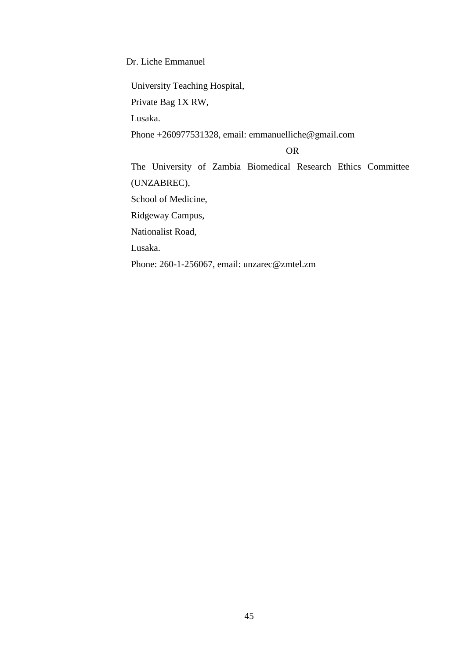Dr. Liche Emmanuel

University Teaching Hospital,

Private Bag 1X RW,

Lusaka.

Phone +260977531328, email: emmanuelliche@gmail.com

OR

The University of Zambia Biomedical Research Ethics Committee (UNZABREC),

School of Medicine,

Ridgeway Campus,

Nationalist Road,

Lusaka.

Phone: 260-1-256067, email: unzarec@zmtel.zm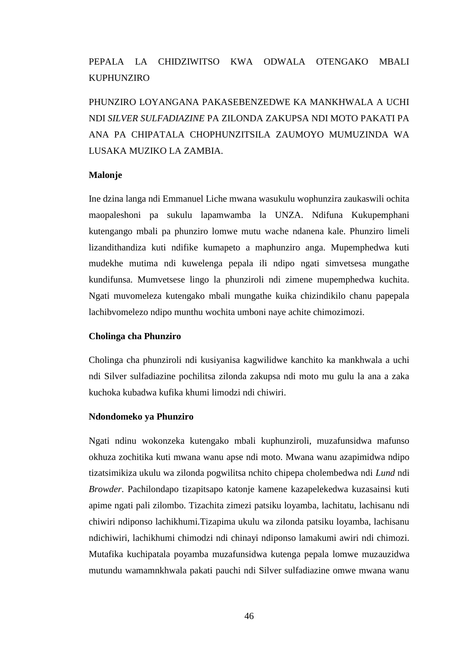## PEPALA LA CHIDZIWITSO KWA ODWALA OTENGAKO MBALI **KUPHUNZIRO**

PHUNZIRO LOYANGANA PAKASEBENZEDWE KA MANKHWALA A UCHI NDI *SILVER SULFADIAZINE* PA ZILONDA ZAKUPSA NDI MOTO PAKATI PA ANA PA CHIPATALA CHOPHUNZITSILA ZAUMOYO MUMUZINDA WA LUSAKA MUZIKO LA ZAMBIA.

#### **Malonje**

Ine dzina langa ndi Emmanuel Liche mwana wasukulu wophunzira zaukaswili ochita maopaleshoni pa sukulu lapamwamba la UNZA. Ndifuna Kukupemphani kutengango mbali pa phunziro lomwe mutu wache ndanena kale. Phunziro limeli lizandithandiza kuti ndifike kumapeto a maphunziro anga. Mupemphedwa kuti mudekhe mutima ndi kuwelenga pepala ili ndipo ngati simvetsesa mungathe kundifunsa. Mumvetsese lingo la phunziroli ndi zimene mupemphedwa kuchita. Ngati muvomeleza kutengako mbali mungathe kuika chizindikilo chanu papepala lachibvomelezo ndipo munthu wochita umboni naye achite chimozimozi.

#### **Cholinga cha Phunziro**

Cholinga cha phunziroli ndi kusiyanisa kagwilidwe kanchito ka mankhwala a uchi ndi Silver sulfadiazine pochilitsa zilonda zakupsa ndi moto mu gulu la ana a zaka kuchoka kubadwa kufika khumi limodzi ndi chiwiri.

#### **Ndondomeko ya Phunziro**

Ngati ndinu wokonzeka kutengako mbali kuphunziroli, muzafunsidwa mafunso okhuza zochitika kuti mwana wanu apse ndi moto. Mwana wanu azapimidwa ndipo tizatsimikiza ukulu wa zilonda pogwilitsa nchito chipepa cholembedwa ndi *Lund* ndi *Browder*. Pachilondapo tizapitsapo katonje kamene kazapelekedwa kuzasainsi kuti apime ngati pali zilombo. Tizachita zimezi patsiku loyamba, lachitatu, lachisanu ndi chiwiri ndiponso lachikhumi.Tizapima ukulu wa zilonda patsiku loyamba, lachisanu ndichiwiri, lachikhumi chimodzi ndi chinayi ndiponso lamakumi awiri ndi chimozi. Mutafika kuchipatala poyamba muzafunsidwa kutenga pepala lomwe muzauzidwa mutundu wamamnkhwala pakati pauchi ndi Silver sulfadiazine omwe mwana wanu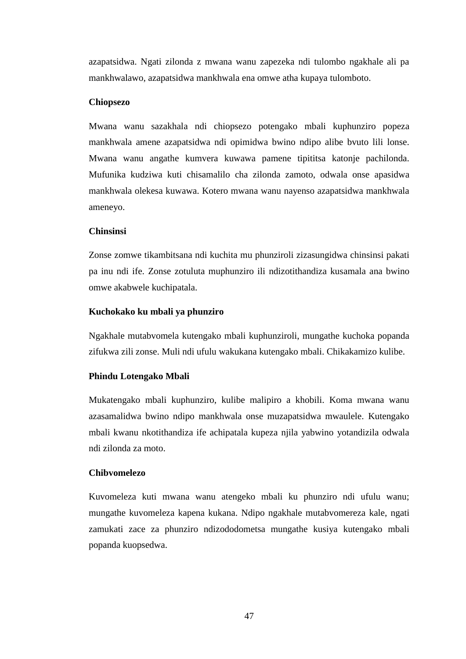azapatsidwa. Ngati zilonda z mwana wanu zapezeka ndi tulombo ngakhale ali pa mankhwalawo, azapatsidwa mankhwala ena omwe atha kupaya tulomboto.

#### **Chiopsezo**

Mwana wanu sazakhala ndi chiopsezo potengako mbali kuphunziro popeza mankhwala amene azapatsidwa ndi opimidwa bwino ndipo alibe bvuto lili lonse. Mwana wanu angathe kumvera kuwawa pamene tipititsa katonje pachilonda. Mufunika kudziwa kuti chisamalilo cha zilonda zamoto, odwala onse apasidwa mankhwala olekesa kuwawa. Kotero mwana wanu nayenso azapatsidwa mankhwala ameneyo.

#### **Chinsinsi**

Zonse zomwe tikambitsana ndi kuchita mu phunziroli zizasungidwa chinsinsi pakati pa inu ndi ife. Zonse zotuluta muphunziro ili ndizotithandiza kusamala ana bwino omwe akabwele kuchipatala.

#### **Kuchokako ku mbali ya phunziro**

Ngakhale mutabvomela kutengako mbali kuphunziroli, mungathe kuchoka popanda zifukwa zili zonse. Muli ndi ufulu wakukana kutengako mbali. Chikakamizo kulibe.

#### **Phindu Lotengako Mbali**

Mukatengako mbali kuphunziro, kulibe malipiro a khobili. Koma mwana wanu azasamalidwa bwino ndipo mankhwala onse muzapatsidwa mwaulele. Kutengako mbali kwanu nkotithandiza ife achipatala kupeza njila yabwino yotandizila odwala ndi zilonda za moto.

#### **Chibvomelezo**

Kuvomeleza kuti mwana wanu atengeko mbali ku phunziro ndi ufulu wanu; mungathe kuvomeleza kapena kukana. Ndipo ngakhale mutabvomereza kale, ngati zamukati zace za phunziro ndizododometsa mungathe kusiya kutengako mbali popanda kuopsedwa.